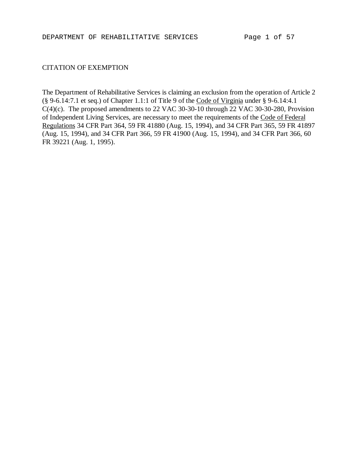### CITATION OF EXEMPTION

The Department of Rehabilitative Services is claiming an exclusion from the operation of Article 2 (§ 9-6.14:7.1 et seq.) of Chapter 1.1:1 of Title 9 of the Code of Virginia under § 9-6.14:4.1 C(4)(c). The proposed amendments to 22 VAC 30-30-10 through 22 VAC 30-30-280, Provision of Independent Living Services, are necessary to meet the requirements of the Code of Federal Regulations 34 CFR Part 364, 59 FR 41880 (Aug. 15, 1994), and 34 CFR Part 365, 59 FR 41897 (Aug. 15, 1994), and 34 CFR Part 366, 59 FR 41900 (Aug. 15, 1994), and 34 CFR Part 366, 60 FR 39221 (Aug. 1, 1995).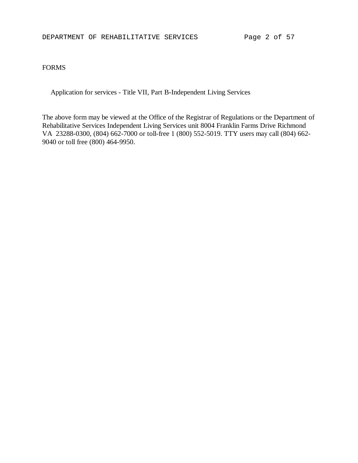#### FORMS

Application for services - Title VII, Part B-Independent Living Services

The above form may be viewed at the Office of the Registrar of Regulations or the Department of Rehabilitative Services Independent Living Services unit 8004 Franklin Farms Drive Richmond VA 23288-0300, (804) 662-7000 or toll-free 1 (800) 552-5019. TTY users may call (804) 662- 9040 or toll free (800) 464-9950.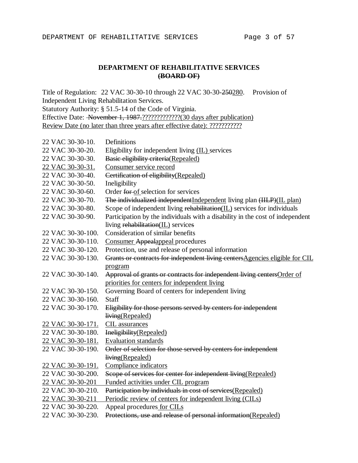## **DEPARTMENT OF REHABILITATIVE SERVICES (BOARD OF)**

Title of Regulation: 22 VAC 30-30-10 through 22 VAC 30-30-250280. Provision of Independent Living Rehabilitation Services. Statutory Authority: § 51.5-14 of the Code of Virginia. Effective Date: November 1, 1987.?????????????(30 days after publication) Review Date (no later than three years after effective date): ???????????

| 22 VAC 30-30-10.  | Definitions                                                                   |
|-------------------|-------------------------------------------------------------------------------|
| 22 VAC 30-30-20.  | Eligibility for independent living (IL) services                              |
| 22 VAC 30-30-30.  | Basic eligibility criteria (Repealed)                                         |
| 22 VAC 30-30-31.  | Consumer service record                                                       |
| 22 VAC 30-30-40.  | Certification of eligibility (Repealed)                                       |
| 22 VAC 30-30-50.  | Ineligibility                                                                 |
| 22 VAC 30-30-60.  | Order for of selection for services                                           |
| 22 VAC 30-30-70.  | The individualized independent Independent living plan (IILP)(IL plan)        |
| 22 VAC 30-30-80.  | Scope of independent living rehabilitation(IL) services for individuals       |
| 22 VAC 30-30-90.  | Participation by the individuals with a disability in the cost of independent |
|                   | living rehabilitation(IL) services                                            |
| 22 VAC 30-30-100. | Consideration of similar benefits                                             |
| 22 VAC 30-30-110. | <b>Consumer Appealappeal procedures</b>                                       |
| 22 VAC 30-30-120. | Protection, use and release of personal information                           |
| 22 VAC 30-30-130. | Grants or contracts for independent living centersAgencies eligible for CIL   |
|                   | program                                                                       |
| 22 VAC 30-30-140. | Approval of grants or contracts for independent living centers Order of       |
|                   | priorities for centers for independent living                                 |
| 22 VAC 30-30-150. | Governing Board of centers for independent living                             |
| 22 VAC 30-30-160. | Staff                                                                         |
| 22 VAC 30-30-170. | Eligibility for those persons served by centers for independent               |
|                   | living(Repealed)                                                              |
| 22 VAC 30-30-171. | CIL assurances                                                                |
| 22 VAC 30-30-180. | Ineligibility(Repealed)                                                       |
| 22 VAC 30-30-181. | <b>Evaluation standards</b>                                                   |
| 22 VAC 30-30-190. | Order of selection for those served by centers for independent                |
|                   | living(Repealed)                                                              |
| 22 VAC 30-30-191. | Compliance indicators                                                         |
| 22 VAC 30-30-200. | Scope of services for center for independent living (Repealed)                |
| 22 VAC 30-30-201  | Funded activities under CIL program                                           |
| 22 VAC 30-30-210. | Participation by individuals in cost of services(Repealed)                    |
| 22 VAC 30-30-211  | Periodic review of centers for independent living (CILs)                      |
| 22 VAC 30-30-220. | Appeal procedures for CILs                                                    |
| 22 VAC 30-30-230. | Protections, use and release of personal information(Repealed)                |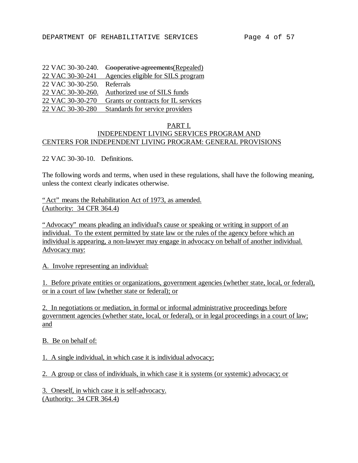| 22 VAC 30-30-240. | Cooperative agreements (Repealed)   |
|-------------------|-------------------------------------|
| 22 VAC 30-30-241  | Agencies eligible for SILS program  |
| 22 VAC 30-30-250. | Referrals                           |
| 22 VAC 30-30-260. | Authorized use of SILS funds        |
| 22 VAC 30-30-270  | Grants or contracts for IL services |
| 22 VAC 30-30-280  | Standards for service providers     |

#### PART I. INDEPENDENT LIVING SERVICES PROGRAM AND CENTERS FOR INDEPENDENT LIVING PROGRAM: GENERAL PROVISIONS

22 VAC 30-30-10. Definitions.

The following words and terms, when used in these regulations, shall have the following meaning, unless the context clearly indicates otherwise.

"Act" means the Rehabilitation Act of 1973, as amended. (Authority: 34 CFR 364.4)

"Advocacy" means pleading an individual's cause or speaking or writing in support of an individual. To the extent permitted by state law or the rules of the agency before which an individual is appearing, a non-lawyer may engage in advocacy on behalf of another individual. Advocacy may:

A. Involve representing an individual:

1. Before private entities or organizations, government agencies (whether state, local, or federal), or in a court of law (whether state or federal); or

2. In negotiations or mediation, in formal or informal administrative proceedings before government agencies (whether state, local, or federal), or in legal proceedings in a court of law; and

B. Be on behalf of:

1. A single individual, in which case it is individual advocacy;

2. A group or class of individuals, in which case it is systems (or systemic) advocacy; or

3. Oneself, in which case it is self-advocacy. (Authority: 34 CFR 364.4)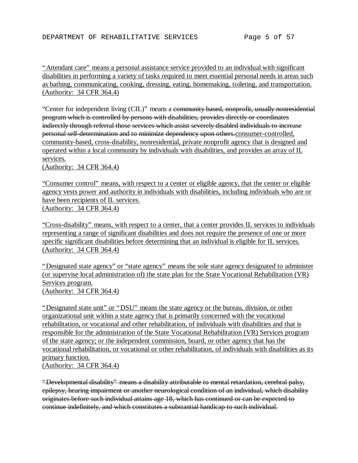"Attendant care" means a personal assistance service provided to an individual with significant disabilities in performing a variety of tasks required to meet essential personal needs in areas such as bathing, communicating, cooking, dressing, eating, homemaking, toileting, and transportation. (Authority: 34 CFR 364.4)

"Center for independent living (CIL)" means a community based, nonprofit, usually nonresidential program which is controlled by persons with disabilities, provides directly or coordinates indirectly through referral those services which assist severely disabled individuals to increase personal self-determination and to minimize dependency upon others.consumer-controlled, community-based, cross-disability, nonresidential, private nonprofit agency that is designed and operated within a local community by individuals with disabilities, and provides an array of IL services.

(Authority: 34 CFR 364.4)

"Consumer control" means, with respect to a center or eligible agency, that the center or eligible agency vests power and authority in individuals with disabilities, including individuals who are or have been recipients of IL services. (Authority: 34 CFR 364.4)

"Cross-disability" means, with respect to a center, that a center provides IL services to individuals representing a range of significant disabilities and does not require the presence of one or more specific significant disabilities before determining that an individual is eligible for IL services. (Authority: 34 CFR 364.4)

"Designated state agency" or "state agency" means the sole state agency designated to administer (or supervise local administration of) the state plan for the State Vocational Rehabilitation (VR) Services program. (Authority: 34 CFR 364.4)

"Designated state unit" or "DSU" means the state agency or the bureau, division, or other organizational unit within a state agency that is primarily concerned with the vocational rehabilitation, or vocational and other rehabilitation, of individuals with disabilities and that is responsible for the administration of the State Vocational Rehabilitation (VR) Services program of the state agency; or the independent commission, board, or other agency that has the vocational rehabilitation, or vocational or other rehabilitation, of individuals with disabilities as its primary function. (Authority: 34 CFR 364.4)

"Developmental disability" means a disability attributable to mental retardation, cerebral palsy, epilepsy, hearing impairment or another neurological condition of an individual, which disability originates before such individual attains age 18, which has continued or can be expected to continue indefinitely, and which constitutes a substantial handicap to such individual.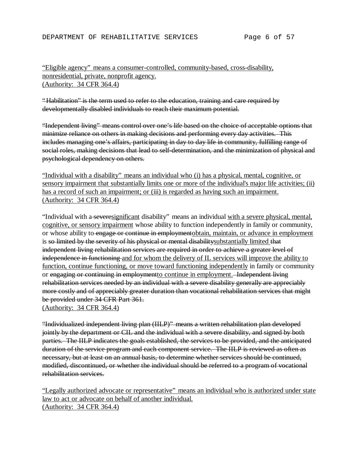## "Eligible agency" means a consumer-controlled, community-based, cross-disability, nonresidential, private, nonprofit agency. (Authority: 34 CFR 364.4)

"Habilitation" is the term used to refer to the education, training and care required by developmentally disabled individuals to reach their maximum potential.

"Independent living" means control over one's life based on the choice of acceptable options that minimize reliance on others in making decisions and performing every day activities. This includes managing one's affairs, participating in day to day life in community, fulfilling range of social roles, making decisions that lead to self-determination, and the minimization of physical and psychological dependency on others.

"Individual with a disability" means an individual who (i) has a physical, mental, cognitive, or sensory impairment that substantially limits one or more of the individual's major life activities; (ii) has a record of such an impairment; or (iii) is regarded as having such an impairment. (Authority: 34 CFR 364.4)

"Individual with a severesignificant disability" means an individual with a severe physical, mental, cognitive, or sensory impairment whose ability to function independently in family or community, or whose ability to engage or continue in employmentobtain, maintain, or advance in employment is so limited by the severity of his physical or mental disabilitysubstantially limited that independent living rehabilitation services are required in order to achieve a greater level of independence in functioning and for whom the delivery of IL services will improve the ability to function, continue functioning, or move toward functioning independently in family or community or engaging or continuing in employmentto continue in employment. Independent living rehabilitation services needed by an individual with a severe disability generally are appreciably more costly and of appreciably greater duration than vocational rehabilitation services that might be provided under 34 CFR Part 361.

(Authority: 34 CFR 364.4)

"Individualized independent living plan (IILP)" means a written rehabilitation plan developed jointly by the department or CIL and the individual with a severe disability, and signed by both parties. The IILP indicates the goals established, the services to be provided, and the anticipated duration of the service program and each component service. The IILP is reviewed as often as necessary, but at least on an annual basis, to determine whether services should be continued, modified, discontinued, or whether the individual should be referred to a program of vocational rehabilitation services.

"Legally authorized advocate or representative" means an individual who is authorized under state law to act or advocate on behalf of another individual. (Authority: 34 CFR 364.4)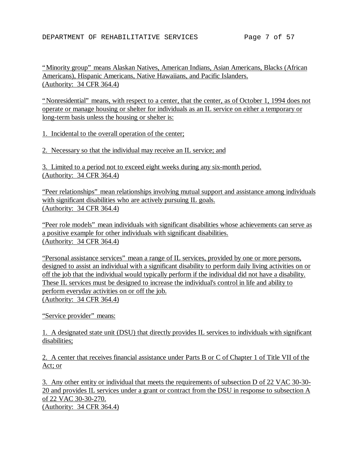"Minority group" means Alaskan Natives, American Indians, Asian Americans, Blacks (African Americans), Hispanic Americans, Native Hawaiians, and Pacific Islanders. (Authority: 34 CFR 364.4)

"Nonresidential" means, with respect to a center, that the center, as of October 1, 1994 does not operate or manage housing or shelter for individuals as an IL service on either a temporary or long-term basis unless the housing or shelter is:

1. Incidental to the overall operation of the center;

2. Necessary so that the individual may receive an IL service; and

3. Limited to a period not to exceed eight weeks during any six-month period. (Authority: 34 CFR 364.4)

"Peer relationships" mean relationships involving mutual support and assistance among individuals with significant disabilities who are actively pursuing IL goals. (Authority: 34 CFR 364.4)

"Peer role models" mean individuals with significant disabilities whose achievements can serve as a positive example for other individuals with significant disabilities. (Authority: 34 CFR 364.4)

"Personal assistance services" mean a range of IL services, provided by one or more persons, designed to assist an individual with a significant disability to perform daily living activities on or off the job that the individual would typically perform if the individual did not have a disability. These IL services must be designed to increase the individual's control in life and ability to perform everyday activities on or off the job. (Authority: 34 CFR 364.4)

"Service provider" means:

1. A designated state unit (DSU) that directly provides IL services to individuals with significant disabilities;

2. A center that receives financial assistance under Parts B or C of Chapter 1 of Title VII of the Act; or

3. Any other entity or individual that meets the requirements of subsection D of 22 VAC 30-30- 20 and provides IL services under a grant or contract from the DSU in response to subsection A of 22 VAC 30-30-270. (Authority: 34 CFR 364.4)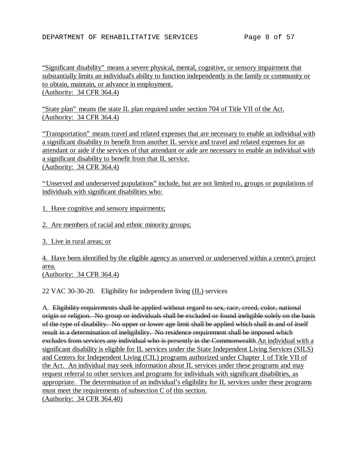"Significant disability" means a severe physical, mental, cognitive, or sensory impairment that substantially limits an individual's ability to function independently in the family or community or to obtain, maintain, or advance in employment. (Authority: 34 CFR 364.4)

"State plan" means the state IL plan required under section 704 of Title VII of the Act. (Authority: 34 CFR 364.4)

"Transportation" means travel and related expenses that are necessary to enable an individual with a significant disability to benefit from another IL service and travel and related expenses for an attendant or aide if the services of that attendant or aide are necessary to enable an individual with a significant disability to benefit from that IL service. (Authority: 34 CFR 364.4)

"Unserved and underserved populations" include, but are not limited to, groups or populations of individuals with significant disabilities who:

1. Have cognitive and sensory impairments;

2. Are members of racial and ethnic minority groups;

3. Live in rural areas; or

4. Have been identified by the eligible agency as unserved or underserved within a center's project area.

(Authority: 34 CFR 364.4)

22 VAC 30-30-20. Eligibility for independent living (IL) services

A. Eligibility requirements shall be applied without regard to sex, race, creed, color, national origin or religion. No group or individuals shall be excluded or found ineligible solely on the basis of the type of disability. No upper or lower age limit shall be applied which shall in and of itself result in a determination of ineligibility. No residence requirement shall be imposed which excludes from services any individual who is presently in the Commonwealth.An individual with a significant disability is eligible for IL services under the State Independent Living Services (SILS) and Centers for Independent Living (CIL) programs authorized under Chapter 1 of Title VII of the Act. An individual may seek information about IL services under these programs and may request referral to other services and programs for individuals with significant disabilities, as appropriate. The determination of an individual's eligibility for IL services under these programs must meet the requirements of subsection C of this section. (Authority: 34 CFR 364.40)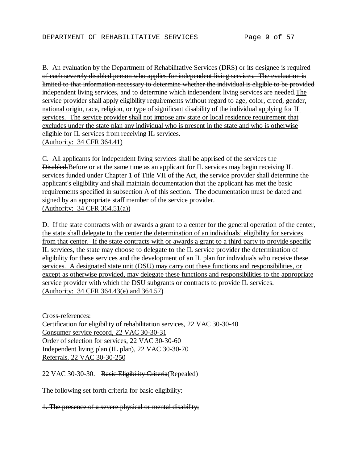B. An evaluation by the Department of Rehabilitative Services (DRS) or its designee is required of each severely disabled person who applies for independent living services. The evaluation is limited to that information necessary to determine whether the individual is eligible to be provided independent living services, and to determine which independent living services are needed. The service provider shall apply eligibility requirements without regard to age, color, creed, gender, national origin, race, religion, or type of significant disability of the individual applying for IL services. The service provider shall not impose any state or local residence requirement that excludes under the state plan any individual who is present in the state and who is otherwise eligible for IL services from receiving IL services. (Authority: 34 CFR 364.41)

C. All applicants for independent living services shall be apprised of the services the Disabled.Before or at the same time as an applicant for IL services may begin receiving IL services funded under Chapter 1 of Title VII of the Act, the service provider shall determine the applicant's eligibility and shall maintain documentation that the applicant has met the basic requirements specified in subsection A of this section. The documentation must be dated and signed by an appropriate staff member of the service provider. (Authority: 34 CFR 364.51(a))

D. If the state contracts with or awards a grant to a center for the general operation of the center, the state shall delegate to the center the determination of an individuals' eligibility for services from that center. If the state contracts with or awards a grant to a third party to provide specific IL services, the state may choose to delegate to the IL service provider the determination of eligibility for these services and the development of an IL plan for individuals who receive these services. A designated state unit (DSU) may carry out these functions and responsibilities, or except as otherwise provided, may delegate these functions and responsibilities to the appropriate service provider with which the DSU subgrants or contracts to provide IL services. (Authority: 34 CFR 364.43(e) and 364.57)

Cross-references: Certification for eligibility of rehabilitation services, 22 VAC 30-30-40 Consumer service record, 22 VAC 30-30-31 Order of selection for services, 22 VAC 30-30-60 Independent living plan (IL plan), 22 VAC 30-30-70 Referrals, 22 VAC 30-30-250

22 VAC 30-30-30. Basic Eligibility Criteria(Repealed)

The following set forth criteria for basic eligibility:

1. The presence of a severe physical or mental disability;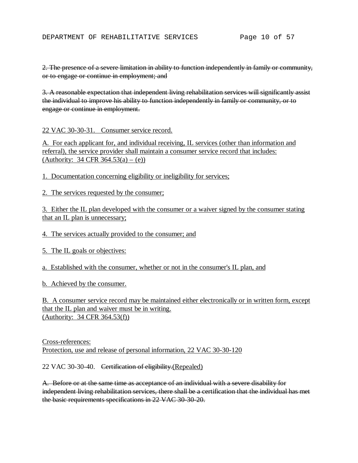2. The presence of a severe limitation in ability to function independently in family or community, or to engage or continue in employment; and

3. A reasonable expectation that independent living rehabilitation services will significantly assist the individual to improve his ability to function independently in family or community, or to engage or continue in employment.

22 VAC 30-30-31. Consumer service record.

A. For each applicant for, and individual receiving, IL services (other than information and referral), the service provider shall maintain a consumer service record that includes: (Authority: 34 CFR  $364.53(a) - (e)$ )

1. Documentation concerning eligibility or ineligibility for services;

2. The services requested by the consumer;

3. Either the IL plan developed with the consumer or a waiver signed by the consumer stating that an IL plan is unnecessary;

4. The services actually provided to the consumer; and

5. The IL goals or objectives:

a. Established with the consumer, whether or not in the consumer's IL plan, and

b. Achieved by the consumer.

B. A consumer service record may be maintained either electronically or in written form, except that the IL plan and waiver must be in writing. (Authority: 34 CFR 364.53(f))

Cross-references: Protection, use and release of personal information, 22 VAC 30-30-120

22 VAC 30-30-40. Certification of eligibility.(Repealed)

A. Before or at the same time as acceptance of an individual with a severe disability for independent living rehabilitation services, there shall be a certification that the individual has met the basic requirements specifications in 22 VAC 30-30-20.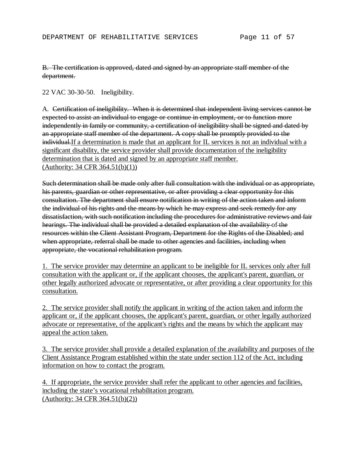B. The certification is approved, dated and signed by an appropriate staff member of the department.

22 VAC 30-30-50. Ineligibility.

A. Certification of ineligibility. When it is determined that independent living services cannot be expected to assist an individual to engage or continue in employment, or to function more independently in family or community, a certification of ineligibility shall be signed and dated by an appropriate staff member of the department. A copy shall be promptly provided to the individual. If a determination is made that an applicant for IL services is not an individual with a significant disability, the service provider shall provide documentation of the ineligibility determination that is dated and signed by an appropriate staff member. (Authority: 34 CFR 364.51(b)(1))

Such determination shall be made only after full consultation with the individual or as appropriate, his parents, guardian or other representative, or after providing a clear opportunity for this consultation. The department shall ensure notification in writing of the action taken and inform the individual of his rights and the means by which he may express and seek remedy for any dissatisfaction, with such notification including the procedures for administrative reviews and fair hearings. The individual shall be provided a detailed explanation of the availability of the resources within the Client Assistant Program, Department for the Rights of the Disabled; and when appropriate, referral shall be made to other agencies and facilities, including when appropriate, the vocational rehabilitation program.

1. The service provider may determine an applicant to be ineligible for IL services only after full consultation with the applicant or, if the applicant chooses, the applicant's parent, guardian, or other legally authorized advocate or representative, or after providing a clear opportunity for this consultation.

2. The service provider shall notify the applicant in writing of the action taken and inform the applicant or, if the applicant chooses, the applicant's parent, guardian, or other legally authorized advocate or representative, of the applicant's rights and the means by which the applicant may appeal the action taken.

3. The service provider shall provide a detailed explanation of the availability and purposes of the Client Assistance Program established within the state under section 112 of the Act, including information on how to contact the program.

4. If appropriate, the service provider shall refer the applicant to other agencies and facilities, including the state's vocational rehabilitation program. (Authority: 34 CFR 364.51(b)(2))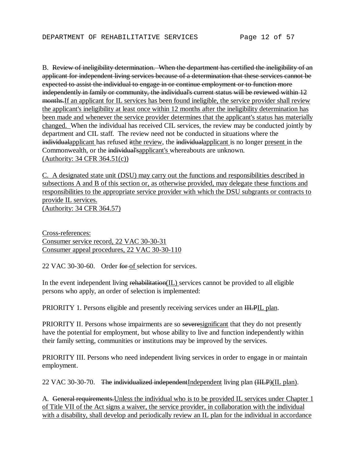B. Review of ineligibility determination. When the department has certified the ineligibility of an applicant for independent living services because of a determination that these services cannot be expected to assist the individual to engage in or continue employment or to function more independently in family or community, the individual's current status will be reviewed within 12 months.If an applicant for IL services has been found ineligible, the service provider shall review the applicant's ineligibility at least once within 12 months after the ineligibility determination has been made and whenever the service provider determines that the applicant's status has materially changed. When the individual has received CIL services, the review may be conducted jointly by department and CIL staff. The review need not be conducted in situations where the individualapplicant has refused it the review, the individual applicant is no longer present in the Commonwealth, or the individual'sapplicant's whereabouts are unknown. (Authority: 34 CFR 364.51(c))

C. A designated state unit (DSU) may carry out the functions and responsibilities described in subsections A and B of this section or, as otherwise provided, may delegate these functions and responsibilities to the appropriate service provider with which the DSU subgrants or contracts to provide IL services. (Authority: 34 CFR 364.57)

Cross-references: Consumer service record, 22 VAC 30-30-31 Consumer appeal procedures, 22 VAC 30-30-110

22 VAC 30-30-60. Order for of selection for services.

In the event independent living rehabilitation(IL) services cannot be provided to all eligible persons who apply, an order of selection is implemented:

PRIORITY 1. Persons eligible and presently receiving services under an **HLPIL** plan.

PRIORITY II. Persons whose impairments are so severesignificant that they do not presently have the potential for employment, but whose ability to live and function independently within their family setting, communities or institutions may be improved by the services.

PRIORITY III. Persons who need independent living services in order to engage in or maintain employment.

22 VAC 30-30-70. The individualized independentIndependent living plan (IILP)(IL plan).

A. General requirements.Unless the individual who is to be provided IL services under Chapter 1 of Title VII of the Act signs a waiver, the service provider, in collaboration with the individual with a disability, shall develop and periodically review an IL plan for the individual in accordance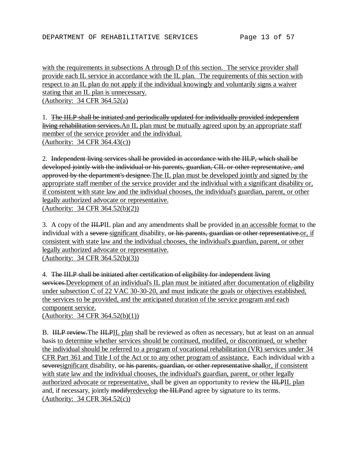with the requirements in subsections A through D of this section. The service provider shall provide each IL service in accordance with the IL plan. The requirements of this section with respect to an IL plan do not apply if the individual knowingly and voluntarily signs a waiver stating that an IL plan is unnecessary.

(Authority: 34 CFR 364.52(a)

1. The IILP shall be initiated and periodically updated for individually provided independent living rehabilitation services. An IL plan must be mutually agreed upon by an appropriate staff member of the service provider and the individual. (Authority: 34 CFR 364.43(c))

2. Independent living services shall be provided in accordance with the IILP, which shall be developed jointly with the individual or his parents, guardian, CIL or other representative, and approved by the department's designee.The IL plan must be developed jointly and signed by the appropriate staff member of the service provider and the individual with a significant disability or, if consistent with state law and the individual chooses, the individual's guardian, parent, or other legally authorized advocate or representative. (Authority: 34 CFR 364.52(b)(2))

3. A copy of the IILPIL plan and any amendments shall be provided in an accessible format to the individual with a severe significant disability, or his parents, guardian or other representative.or, if consistent with state law and the individual chooses, the individual's guardian, parent, or other legally authorized advocate or representative. (Authority: 34 CFR 364.52(b)(3))

4. The IILP shall be initiated after certification of eligibility for independent living services. Development of an individual's IL plan must be initiated after documentation of eligibility under subsection C of 22 VAC 30-30-20, and must indicate the goals or objectives established, the services to be provided, and the anticipated duration of the service program and each component service. (Authority: 34 CFR 364.52(b)(1))

B. HLP review. The HLPIL plan shall be reviewed as often as necessary, but at least on an annual basis to determine whether services should be continued, modified, or discontinued, or whether the individual should be referred to a program of vocational rehabilitation (VR) services under 34 CFR Part 361 and Title I of the Act or to any other program of assistance. Each individual with a severesignificant disability, or his parents, guardian, or other representative shallor, if consistent with state law and the individual chooses, the individual's guardian, parent, or other legally authorized advocate or representative, shall be given an opportunity to review the HLPIL plan and, if necessary, jointly modifyredevelop the IILPand agree by signature to its terms. (Authority: 34 CFR 364.52(c))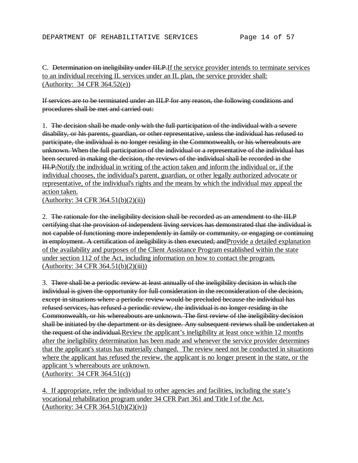## C. Determination on ineligibility under IILP.If the service provider intends to terminate services to an individual receiving IL services under an IL plan, the service provider shall: (Authority: 34 CFR 364.52(e))

If services are to be terminated under an IILP for any reason, the following conditions and procedures shall be met and carried out:

1. The decision shall be made only with the full participation of the individual with a severe disability, or his parents, guardian, or other representative, unless the individual has refused to participate, the individual is no longer residing in the Commonwealth, or his whereabouts are unknown. When the full participation of the individual or a representative of the individual has been secured in making the decision, the reviews of the individual shall be recorded in the IILP;Notify the individual in writing of the action taken and inform the individual or, if the individual chooses, the individual's parent, guardian, or other legally authorized advocate or representative, of the individual's rights and the means by which the individual may appeal the action taken.

(Authority: 34 CFR 364.51(b)(2)(ii))

2. The rationale for the ineligibility decision shall be recorded as an amendment to the IILP certifying that the provision of independent living services has demonstrated that the individual is not capable of functioning more independently in family or community, or engaging or continuing in employment. A certification of ineligibility is then executed; and Provide a detailed explanation of the availability and purposes of the Client Assistance Program established within the state under section 112 of the Act, including information on how to contact the program. (Authority: 34 CFR 364.51(b)(2)(iii))

3. There shall be a periodic review at least annually of the ineligibility decision in which the individual is given the opportunity for full consideration in the reconsideration of the decision, except in situations where a periodic review would be precluded because the individual has refused services, has refused a periodic review, the individual is no longer residing in the Commonwealth, or his whereabouts are unknown. The first review of the ineligibility decision shall be initiated by the department or its designee. Any subsequent reviews shall be undertaken at the request of the individual.Review the applicant's ineligibility at least once within 12 months after the ineligibility determination has been made and whenever the service provider determines that the applicant's status has materially changed. The review need not be conducted in situations where the applicant has refused the review, the applicant is no longer present in the state, or the applicant 's whereabouts are unknown. (Authority: 34 CFR 364.51(c))

4. If appropriate, refer the individual to other agencies and facilities, including the state's vocational rehabilitation program under 34 CFR Part 361 and Title I of the Act. (Authority: 34 CFR 364.51(b)(2)(iv))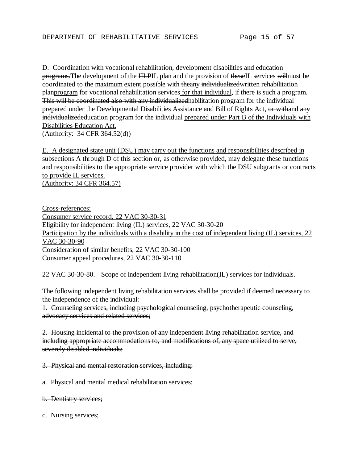D. Coordination with vocational rehabilitation, development disabilities and education programs. The development of the HLPIL plan and the provision of theseIL services willmust be coordinated to the maximum extent possible with theany individualizedwritten rehabilitation planprogram for vocational rehabilitation services for that individual, if there is such a program. This will be coordinated also with any individualized habilitation program for the individual prepared under the Developmental Disabilities Assistance and Bill of Rights Act, or withand any individualizededucation program for the individual prepared under Part B of the Individuals with Disabilities Education Act. (Authority: 34 CFR 364.52(d))

E. A designated state unit (DSU) may carry out the functions and responsibilities described in subsections A through D of this section or, as otherwise provided, may delegate these functions and responsibilities to the appropriate service provider with which the DSU subgrants or contracts to provide IL services. (Authority: 34 CFR 364.57)

Cross-references: Consumer service record, 22 VAC 30-30-31 Eligibility for independent living (IL) services, 22 VAC 30-30-20 Participation by the individuals with a disability in the cost of independent living (IL) services, 22 VAC 30-30-90 Consideration of similar benefits, 22 VAC 30-30-100 Consumer appeal procedures, 22 VAC 30-30-110

22 VAC 30-30-80. Scope of independent living rehabilitation(IL) services for individuals.

The following independent living rehabilitation services shall be provided if deemed necessary to the independence of the individual:

1. Counseling services, including psychological counseling, psychotherapeutic counseling, advocacy services and related services;

2. Housing incidental to the provision of any independent living rehabilitation service, and including appropriate accommodations to, and modifications of, any space utilized to serve, severely disabled individuals;

3. Physical and mental restoration services, including:

a. Physical and mental medical rehabilitation services;

- b. Dentistry services;
- c. Nursing services;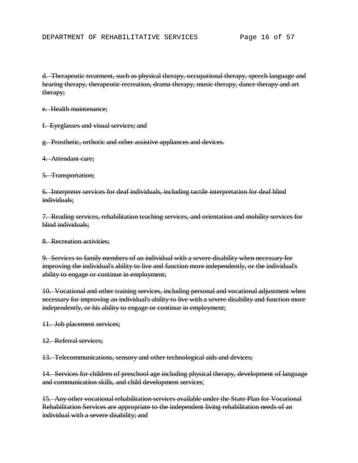d. Therapeutic treatment, such as physical therapy, occupational therapy, speech language and hearing therapy, therapeutic recreation, drama therapy, music therapy, dance therapy and art therapy;

e. Health maintenance;

f. Eyeglasses and visual services; and

g. Prosthetic, orthotic and other assistive appliances and devices.

4. Attendant care;

5. Transportation;

6. Interpreter services for deaf individuals, including tactile interpretation for deaf blind individuals;

7. Reading services, rehabilitation teaching services, and orientation and mobility services for blind individuals;

8. Recreation activities;

9. Services to family members of an individual with a severe disability when necessary for improving the individual's ability to live and function more independently, or the individual's ability to engage or continue in employment;

10. Vocational and other training services, including personal and vocational adjustment when necessary for improving an individual's ability to live with a severe disability and function more independently, or his ability to engage or continue in employment;

11. Job placement services;

12. Referral services;

13. Telecommunications, sensory and other technological aids and devices;

14. Services for children of preschool age including physical therapy, development of language and communication skills, and child development services;

15. Any other vocational rehabilitation services available under the State Plan for Vocational Rehabilitation Services are appropriate to the independent living rehabilitation needs of an individual with a severe disability; and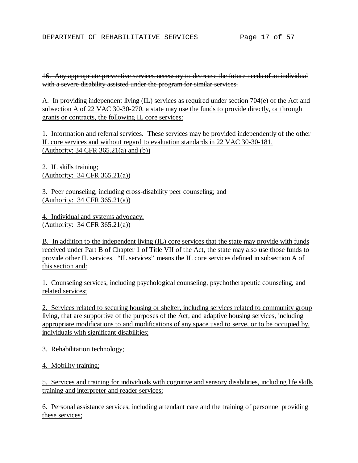16. Any appropriate preventive services necessary to decrease the future needs of an individual with a severe disability assisted under the program for similar services.

A. In providing independent living (IL) services as required under section 704(e) of the Act and subsection A of 22 VAC 30-30-270, a state may use the funds to provide directly, or through grants or contracts, the following IL core services:

1. Information and referral services. These services may be provided independently of the other IL core services and without regard to evaluation standards in 22 VAC 30-30-181. (Authority: 34 CFR 365.21(a) and (b))

2. IL skills training; (Authority: 34 CFR 365.21(a))

3. Peer counseling, including cross-disability peer counseling; and (Authority: 34 CFR 365.21(a))

4. Individual and systems advocacy. (Authority: 34 CFR 365.21(a))

B. In addition to the independent living (IL) core services that the state may provide with funds received under Part B of Chapter 1 of Title VII of the Act, the state may also use those funds to provide other IL services. "IL services" means the IL core services defined in subsection A of this section and:

1. Counseling services, including psychological counseling, psychotherapeutic counseling, and related services;

2. Services related to securing housing or shelter, including services related to community group living, that are supportive of the purposes of the Act, and adaptive housing services, including appropriate modifications to and modifications of any space used to serve, or to be occupied by, individuals with significant disabilities;

3. Rehabilitation technology;

4. Mobility training;

5. Services and training for individuals with cognitive and sensory disabilities, including life skills training and interpreter and reader services;

6. Personal assistance services, including attendant care and the training of personnel providing these services;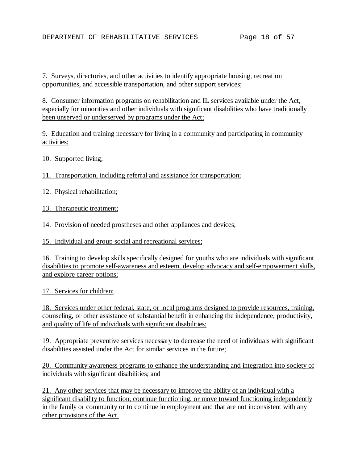7. Surveys, directories, and other activities to identify appropriate housing, recreation opportunities, and accessible transportation, and other support services;

8. Consumer information programs on rehabilitation and IL services available under the Act, especially for minorities and other individuals with significant disabilities who have traditionally been unserved or underserved by programs under the Act;

9. Education and training necessary for living in a community and participating in community activities;

10. Supported living;

11. Transportation, including referral and assistance for transportation;

12. Physical rehabilitation;

13. Therapeutic treatment;

14. Provision of needed prostheses and other appliances and devices;

15. Individual and group social and recreational services;

16. Training to develop skills specifically designed for youths who are individuals with significant disabilities to promote self-awareness and esteem, develop advocacy and self-empowerment skills, and explore career options;

17. Services for children;

18. Services under other federal, state, or local programs designed to provide resources, training, counseling, or other assistance of substantial benefit in enhancing the independence, productivity, and quality of life of individuals with significant disabilities;

19. Appropriate preventive services necessary to decrease the need of individuals with significant disabilities assisted under the Act for similar services in the future;

20. Community awareness programs to enhance the understanding and integration into society of individuals with significant disabilities; and

21. Any other services that may be necessary to improve the ability of an individual with a significant disability to function, continue functioning, or move toward functioning independently in the family or community or to continue in employment and that are not inconsistent with any other provisions of the Act.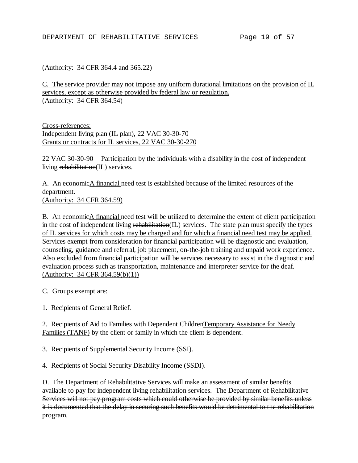### (Authority: 34 CFR 364.4 and 365.22)

C. The service provider may not impose any uniform durational limitations on the provision of IL services, except as otherwise provided by federal law or regulation. (Authority: 34 CFR 364.54)

Cross-references: Independent living plan (IL plan), 22 VAC 30-30-70 Grants or contracts for IL services, 22 VAC 30-30-270

22 VAC 30-30-90 Participation by the individuals with a disability in the cost of independent living rehabilitation(IL) services.

A. An economicA financial need test is established because of the limited resources of the department. (Authority: 34 CFR 364.59)

B. An economicA financial need test will be utilized to determine the extent of client participation in the cost of independent living rehabilitation(IL) services. The state plan must specify the types of IL services for which costs may be charged and for which a financial need test may be applied. Services exempt from consideration for financial participation will be diagnostic and evaluation, counseling, guidance and referral, job placement, on-the-job training and unpaid work experience. Also excluded from financial participation will be services necessary to assist in the diagnostic and evaluation process such as transportation, maintenance and interpreter service for the deaf. (Authority: 34 CFR 364.59(b)(1))

C. Groups exempt are:

1. Recipients of General Relief.

2. Recipients of Aid to Families with Dependent Children Temporary Assistance for Needy Families (TANF) by the client or family in which the client is dependent.

3. Recipients of Supplemental Security Income (SSI).

4. Recipients of Social Security Disability Income (SSDI).

D. The Department of Rehabilitative Services will make an assessment of similar benefits available to pay for independent living rehabilitation services. The Department of Rehabilitative Services will not pay program costs which could otherwise be provided by similar benefits unless it is documented that the delay in securing such benefits would be detrimental to the rehabilitation program.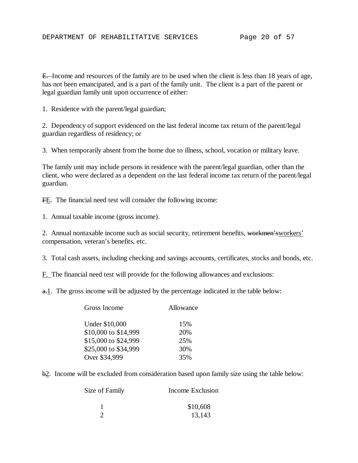E. Income and resources of the family are to be used when the client is less than 18 years of age, has not been emancipated, and is a part of the family unit. The client is a part of the parent or legal guardian family unit upon occurrence of either:

1. Residence with the parent/legal guardian;

2. Dependency of support evidenced on the last federal income tax return of the parent/legal guardian regardless of residency; or

3. When temporarily absent from the home due to illness, school, vocation or military leave.

The family unit may include persons in residence with the parent/legal guardian, other than the client, who were declared as a dependent on the last federal income tax return of the parent/legal guardian.

FE. The financial need test will consider the following income:

1. Annual taxable income (gross income).

2. Annual nontaxable income such as social security, retirement benefits, workmen'sworkers' compensation, veteran's benefits, etc.

3. Total cash assets, including checking and savings accounts, certificates, stocks and bonds, etc.

F. The financial need test will provide for the following allowances and exclusions:

 $a-1$ . The gross income will be adjusted by the percentage indicated in the table below:

| Gross Income         | Allowance |
|----------------------|-----------|
| Under \$10,000       | 15%       |
| \$10,000 to \$14,999 | 20%       |
| \$15,000 to \$24,999 | 25%       |
| \$25,000 to \$34,999 | 30%       |
| Over \$34,999        | 35%       |

b2. Income will be excluded from consideration based upon family size using the table below:

| Size of Family | Income Exclusion |  |
|----------------|------------------|--|
|                | \$10,608         |  |
|                | 13,143           |  |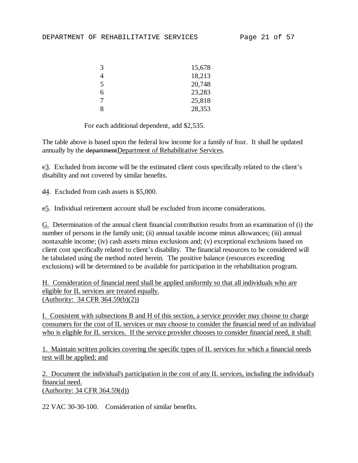| 3 | 15,678 |
|---|--------|
| 4 | 18,213 |
| 5 | 20,748 |
| 6 | 23,283 |
| 7 | 25,818 |
| 8 | 28,353 |

For each additional dependent, add \$2,535.

The table above is based upon the federal low income for a family of four. It shall be updated annually by the departmentDepartment of Rehabilitative Services.

e3. Excluded from income will be the estimated client costs specifically related to the client's disability and not covered by similar benefits.

d4. Excluded from cash assets is \$5,000.

e5. Individual retirement account shall be excluded from income considerations.

G. Determination of the annual client financial contribution results from an examination of (i) the number of persons in the family unit; (ii) annual taxable income minus allowances; (iii) annual nontaxable income; (iv) cash assets minus exclusions and; (v) exceptional exclusions based on client cost specifically related to client's disability. The financial resources to be considered will be tabulated using the method noted herein. The positive balance (resources exceeding exclusions) will be determined to be available for participation in the rehabilitation program.

H. Consideration of financial need shall be applied uniformly so that all individuals who are eligible for IL services are treated equally. (Authority: 34 CFR 364.59(b)(2))

I. Consistent with subsections B and H of this section, a service provider may choose to charge consumers for the cost of IL services or may choose to consider the financial need of an individual who is eligible for IL services. If the service provider chooses to consider financial need, it shall:

1. Maintain written policies covering the specific types of IL services for which a financial needs test will be applied; and

2. Document the individual's participation in the cost of any IL services, including the individual's financial need.

(Authority: 34 CFR 364.59(d))

22 VAC 30-30-100. Consideration of similar benefits.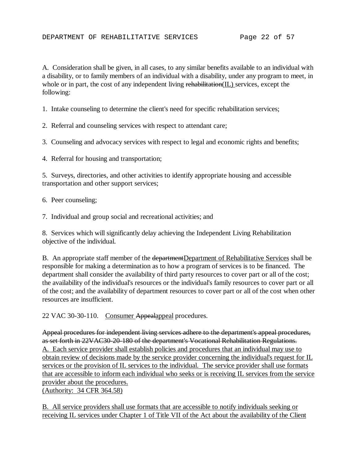A. Consideration shall be given, in all cases, to any similar benefits available to an individual with a disability, or to family members of an individual with a disability, under any program to meet, in whole or in part, the cost of any independent living rehabilitation(IL) services, except the following:

1. Intake counseling to determine the client's need for specific rehabilitation services;

2. Referral and counseling services with respect to attendant care;

3. Counseling and advocacy services with respect to legal and economic rights and benefits;

4. Referral for housing and transportation;

5. Surveys, directories, and other activities to identify appropriate housing and accessible transportation and other support services;

6. Peer counseling;

7. Individual and group social and recreational activities; and

8. Services which will significantly delay achieving the Independent Living Rehabilitation objective of the individual.

B. An appropriate staff member of the departmentDepartment of Rehabilitative Services shall be responsible for making a determination as to how a program of services is to be financed. The department shall consider the availability of third party resources to cover part or all of the cost; the availability of the individual's resources or the individual's family resources to cover part or all of the cost; and the availability of department resources to cover part or all of the cost when other resources are insufficient.

22 VAC 30-30-110. Consumer Appealappeal procedures.

Appeal procedures for independent living services adhere to the department's appeal procedures, as set forth in 22VAC30-20-180 of the department's Vocational Rehabilitation Regulations. A. Each service provider shall establish policies and procedures that an individual may use to obtain review of decisions made by the service provider concerning the individual's request for IL services or the provision of IL services to the individual. The service provider shall use formats that are accessible to inform each individual who seeks or is receiving IL services from the service provider about the procedures.

(Authority: 34 CFR 364.58)

B. All service providers shall use formats that are accessible to notify individuals seeking or receiving IL services under Chapter 1 of Title VII of the Act about the availability of the Client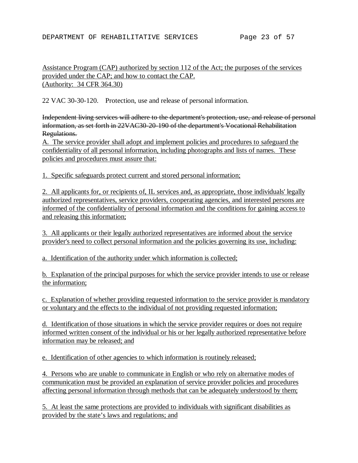### Assistance Program (CAP) authorized by section 112 of the Act; the purposes of the services provided under the CAP; and how to contact the CAP. (Authority: 34 CFR 364.30)

22 VAC 30-30-120. Protection, use and release of personal information.

Independent living services will adhere to the department's protection, use, and release of personal information, as set forth in 22VAC30-20-190 of the department's Vocational Rehabilitation Regulations.

A. The service provider shall adopt and implement policies and procedures to safeguard the confidentiality of all personal information, including photographs and lists of names. These policies and procedures must assure that:

1. Specific safeguards protect current and stored personal information;

2. All applicants for, or recipients of, IL services and, as appropriate, those individuals' legally authorized representatives, service providers, cooperating agencies, and interested persons are informed of the confidentiality of personal information and the conditions for gaining access to and releasing this information;

3. All applicants or their legally authorized representatives are informed about the service provider's need to collect personal information and the policies governing its use, including:

a. Identification of the authority under which information is collected;

b. Explanation of the principal purposes for which the service provider intends to use or release the information;

c. Explanation of whether providing requested information to the service provider is mandatory or voluntary and the effects to the individual of not providing requested information;

d. Identification of those situations in which the service provider requires or does not require informed written consent of the individual or his or her legally authorized representative before information may be released; and

e. Identification of other agencies to which information is routinely released;

4. Persons who are unable to communicate in English or who rely on alternative modes of communication must be provided an explanation of service provider policies and procedures affecting personal information through methods that can be adequately understood by them;

5. At least the same protections are provided to individuals with significant disabilities as provided by the state's laws and regulations; and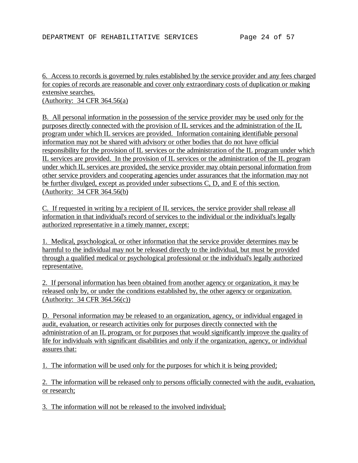# 6. Access to records is governed by rules established by the service provider and any fees charged for copies of records are reasonable and cover only extraordinary costs of duplication or making extensive searches.

(Authority: 34 CFR 364.56(a)

B. All personal information in the possession of the service provider may be used only for the purposes directly connected with the provision of IL services and the administration of the IL program under which IL services are provided. Information containing identifiable personal information may not be shared with advisory or other bodies that do not have official responsibility for the provision of IL services or the administration of the IL program under which IL services are provided. In the provision of IL services or the administration of the IL program under which IL services are provided, the service provider may obtain personal information from other service providers and cooperating agencies under assurances that the information may not be further divulged, except as provided under subsections C, D, and E of this section. (Authority: 34 CFR 364.56(b)

C. If requested in writing by a recipient of IL services, the service provider shall release all information in that individual's record of services to the individual or the individual's legally authorized representative in a timely manner, except:

1. Medical, psychological, or other information that the service provider determines may be harmful to the individual may not be released directly to the individual, but must be provided through a qualified medical or psychological professional or the individual's legally authorized representative.

2. If personal information has been obtained from another agency or organization, it may be released only by, or under the conditions established by, the other agency or organization. (Authority: 34 CFR 364.56(c))

D. Personal information may be released to an organization, agency, or individual engaged in audit, evaluation, or research activities only for purposes directly connected with the administration of an IL program, or for purposes that would significantly improve the quality of life for individuals with significant disabilities and only if the organization, agency, or individual assures that:

1. The information will be used only for the purposes for which it is being provided;

2. The information will be released only to persons officially connected with the audit, evaluation, or research;

3. The information will not be released to the involved individual;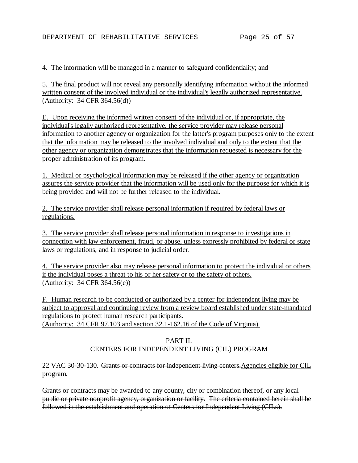### 4. The information will be managed in a manner to safeguard confidentiality; and

5. The final product will not reveal any personally identifying information without the informed written consent of the involved individual or the individual's legally authorized representative. (Authority: 34 CFR 364.56(d))

E. Upon receiving the informed written consent of the individual or, if appropriate, the individual's legally authorized representative, the service provider may release personal information to another agency or organization for the latter's program purposes only to the extent that the information may be released to the involved individual and only to the extent that the other agency or organization demonstrates that the information requested is necessary for the proper administration of its program.

1. Medical or psychological information may be released if the other agency or organization assures the service provider that the information will be used only for the purpose for which it is being provided and will not be further released to the individual.

2. The service provider shall release personal information if required by federal laws or regulations.

3. The service provider shall release personal information in response to investigations in connection with law enforcement, fraud, or abuse, unless expressly prohibited by federal or state laws or regulations, and in response to judicial order.

4. The service provider also may release personal information to protect the individual or others if the individual poses a threat to his or her safety or to the safety of others. (Authority: 34 CFR 364.56(e))

F. Human research to be conducted or authorized by a center for independent living may be subject to approval and continuing review from a review board established under state-mandated regulations to protect human research participants. (Authority: 34 CFR 97.103 and section 32.1-162.16 of the Code of Virginia)*.*

## PART II. CENTERS FOR INDEPENDENT LIVING (CIL) PROGRAM

22 VAC 30-30-130. Grants or contracts for independent living centers.Agencies eligible for CIL program.

Grants or contracts may be awarded to any county, city or combination thereof, or any local public or private nonprofit agency, organization or facility. The criteria contained herein shall be followed in the establishment and operation of Centers for Independent Living (CILs).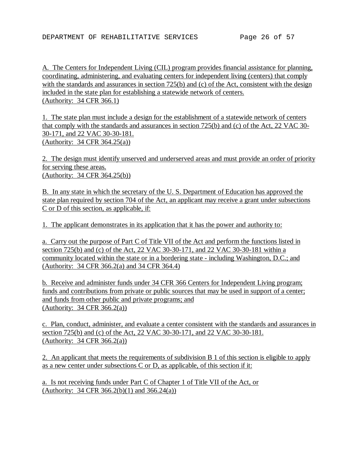A. The Centers for Independent Living (CIL) program provides financial assistance for planning, coordinating, administering, and evaluating centers for independent living (centers) that comply with the standards and assurances in section 725(b) and (c) of the Act, consistent with the design included in the state plan for establishing a statewide network of centers. (Authority: 34 CFR 366.1)

1. The state plan must include a design for the establishment of a statewide network of centers that comply with the standards and assurances in section 725(b) and (c) of the Act, 22 VAC 30- 30-171, and 22 VAC 30-30-181. (Authority: 34 CFR 364.25(a))

2. The design must identify unserved and underserved areas and must provide an order of priority for serving these areas. (Authority: 34 CFR 364.25(b))

B. In any state in which the secretary of the U. S. Department of Education has approved the state plan required by section 704 of the Act, an applicant may receive a grant under subsections C or D of this section, as applicable, if:

1. The applicant demonstrates in its application that it has the power and authority to:

a. Carry out the purpose of Part C of Title VII of the Act and perform the functions listed in section 725(b) and (c) of the Act, 22 VAC 30-30-171, and 22 VAC 30-30-181 within a community located within the state or in a bordering state - including Washington, D.C.; and (Authority: 34 CFR 366.2(a) and 34 CFR 364.4)

b. Receive and administer funds under 34 CFR 366 Centers for Independent Living program; funds and contributions from private or public sources that may be used in support of a center; and funds from other public and private programs; and (Authority: 34 CFR 366.2(a))

c. Plan, conduct, administer, and evaluate a center consistent with the standards and assurances in section 725(b) and (c) of the Act, 22 VAC 30-30-171, and 22 VAC 30-30-181. (Authority: 34 CFR 366.2(a))

2. An applicant that meets the requirements of subdivision B 1 of this section is eligible to apply as a new center under subsections C or D, as applicable, of this section if it:

a. Is not receiving funds under Part C of Chapter 1 of Title VII of the Act, or (Authority: 34 CFR 366.2(b)(1) and 366.24(a))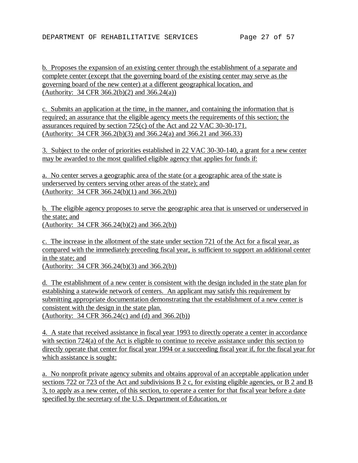b. Proposes the expansion of an existing center through the establishment of a separate and complete center (except that the governing board of the existing center may serve as the governing board of the new center) at a different geographical location, and (Authority: 34 CFR 366.2(b)(2) and 366.24(a))

c. Submits an application at the time, in the manner, and containing the information that is required; an assurance that the eligible agency meets the requirements of this section; the assurances required by section 725(c) of the Act and 22 VAC 30-30-171. (Authority: 34 CFR 366.2(b)(3) and 366.24(a) and 366.21 and 366.33)

3. Subject to the order of priorities established in 22 VAC 30-30-140, a grant for a new center may be awarded to the most qualified eligible agency that applies for funds if:

a. No center serves a geographic area of the state (or a geographic area of the state is underserved by centers serving other areas of the state); and (Authority: 34 CFR 366.24(b)(1) and 366.2(b))

b. The eligible agency proposes to serve the geographic area that is unserved or underserved in the state; and (Authority: 34 CFR 366.24(b)(2) and 366.2(b))

c. The increase in the allotment of the state under section 721 of the Act for a fiscal year, as compared with the immediately preceding fiscal year, is sufficient to support an additional center in the state; and

(Authority: 34 CFR 366.24(b)(3) and 366.2(b))

d. The establishment of a new center is consistent with the design included in the state plan for establishing a statewide network of centers. An applicant may satisfy this requirement by submitting appropriate documentation demonstrating that the establishment of a new center is consistent with the design in the state plan. (Authority: 34 CFR 366.24(c) and (d) and 366.2(b))

4. A state that received assistance in fiscal year 1993 to directly operate a center in accordance with section 724(a) of the Act is eligible to continue to receive assistance under this section to directly operate that center for fiscal year 1994 or a succeeding fiscal year if, for the fiscal year for which assistance is sought:

a. No nonprofit private agency submits and obtains approval of an acceptable application under sections 722 or 723 of the Act and subdivisions B 2 c, for existing eligible agencies, or B 2 and B 3, to apply as a new center, of this section, to operate a center for that fiscal year before a date specified by the secretary of the U.S. Department of Education, or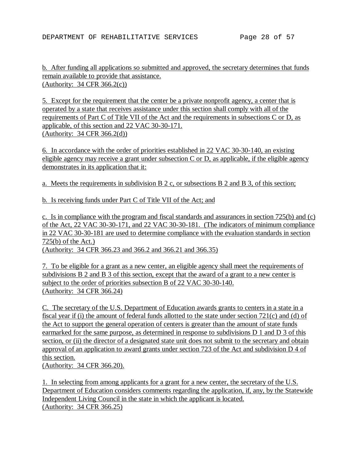b. After funding all applications so submitted and approved, the secretary determines that funds remain available to provide that assistance. (Authority: 34 CFR 366.2(c))

5. Except for the requirement that the center be a private nonprofit agency, a center that is operated by a state that receives assistance under this section shall comply with all of the requirements of Part C of Title VII of the Act and the requirements in subsections C or D, as applicable, of this section and 22 VAC 30-30-171. (Authority: 34 CFR 366.2(d))

6. In accordance with the order of priorities established in 22 VAC 30-30-140, an existing eligible agency may receive a grant under subsection  $C$  or  $D$ , as applicable, if the eligible agency demonstrates in its application that it:

a. Meets the requirements in subdivision B 2 c, or subsections B 2 and B 3, of this section;

b. Is receiving funds under Part C of Title VII of the Act; and

c. Is in compliance with the program and fiscal standards and assurances in section 725(b) and (c) of the Act, 22 VAC 30-30-171, and 22 VAC 30-30-181. (The indicators of minimum compliance in 22 VAC 30-30-181 are used to determine compliance with the evaluation standards in section 725(b) of the Act.) (Authority: 34 CFR 366.23 and 366.2 and 366.21 and 366.35)

7. To be eligible for a grant as a new center, an eligible agency shall meet the requirements of subdivisions B 2 and B 3 of this section, except that the award of a grant to a new center is subject to the order of priorities subsection B of 22 VAC 30-30-140. (Authority: 34 CFR 366.24)

C. The secretary of the U.S. Department of Education awards grants to centers in a state in a fiscal year if (i) the amount of federal funds allotted to the state under section 721(c) and (d) of the Act to support the general operation of centers is greater than the amount of state funds earmarked for the same purpose, as determined in response to subdivisions D 1 and D 3 of this section, or (ii) the director of a designated state unit does not submit to the secretary and obtain approval of an application to award grants under section 723 of the Act and subdivision D 4 of this section.

(Authority: 34 CFR 366.20).

1. In selecting from among applicants for a grant for a new center, the secretary of the U.S. Department of Education considers comments regarding the application, if, any, by the Statewide Independent Living Council in the state in which the applicant is located. (Authority: 34 CFR 366.25)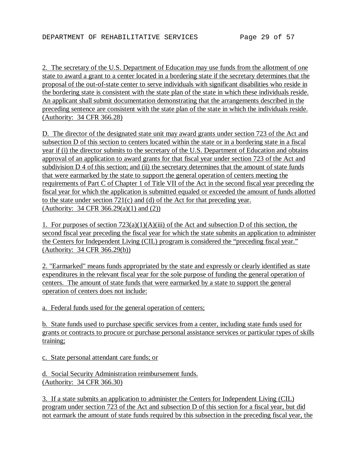2. The secretary of the U.S. Department of Education may use funds from the allotment of one state to award a grant to a center located in a bordering state if the secretary determines that the proposal of the out-of-state center to serve individuals with significant disabilities who reside in the bordering state is consistent with the state plan of the state in which these individuals reside. An applicant shall submit documentation demonstrating that the arrangements described in the preceding sentence are consistent with the state plan of the state in which the individuals reside. (Authority: 34 CFR 366.28)

D. The director of the designated state unit may award grants under section 723 of the Act and subsection D of this section to centers located within the state or in a bordering state in a fiscal year if (i) the director submits to the secretary of the U.S. Department of Education and obtains approval of an application to award grants for that fiscal year under section 723 of the Act and subdivision D 4 of this section; and (ii) the secretary determines that the amount of state funds that were earmarked by the state to support the general operation of centers meeting the requirements of Part C of Chapter 1 of Title VII of the Act in the second fiscal year preceding the fiscal year for which the application is submitted equaled or exceeded the amount of funds allotted to the state under section 721(c) and (d) of the Act for that preceding year. (Authority: 34 CFR 366.29(a)(1) and (2))

1. For purposes of section  $723(a)(1)(A)(iii)$  of the Act and subsection D of this section, the second fiscal year preceding the fiscal year for which the state submits an application to administer the Centers for Independent Living (CIL) program is considered the "preceding fiscal year." (Authority: 34 CFR 366.29(b))

2. "Earmarked" means funds appropriated by the state and expressly or clearly identified as state expenditures in the relevant fiscal year for the sole purpose of funding the general operation of centers. The amount of state funds that were earmarked by a state to support the general operation of centers does not include:

a. Federal funds used for the general operation of centers;

b. State funds used to purchase specific services from a center, including state funds used for grants or contracts to procure or purchase personal assistance services or particular types of skills training;

c. State personal attendant care funds; or

d. Social Security Administration reimbursement funds. (Authority: 34 CFR 366.30)

3. If a state submits an application to administer the Centers for Independent Living (CIL) program under section 723 of the Act and subsection D of this section for a fiscal year, but did not earmark the amount of state funds required by this subsection in the preceding fiscal year, the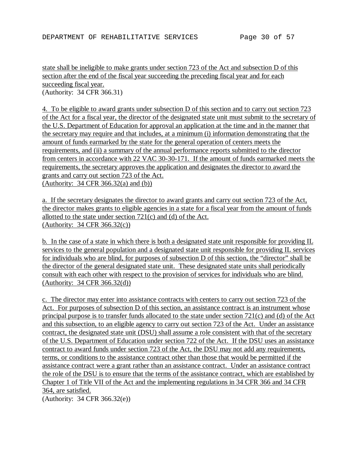state shall be ineligible to make grants under section 723 of the Act and subsection D of this section after the end of the fiscal year succeeding the preceding fiscal year and for each succeeding fiscal year. (Authority: 34 CFR 366.31)

4. To be eligible to award grants under subsection D of this section and to carry out section 723 of the Act for a fiscal year, the director of the designated state unit must submit to the secretary of the U.S. Department of Education for approval an application at the time and in the manner that the secretary may require and that includes, at a minimum (i) information demonstrating that the amount of funds earmarked by the state for the general operation of centers meets the requirements, and (ii) a summary of the annual performance reports submitted to the director from centers in accordance with 22 VAC 30-30-171. If the amount of funds earmarked meets the requirements, the secretary approves the application and designates the director to award the grants and carry out section 723 of the Act. (Authority: 34 CFR 366.32(a) and (b))

a. If the secretary designates the director to award grants and carry out section 723 of the Act, the director makes grants to eligible agencies in a state for a fiscal year from the amount of funds allotted to the state under section 721(c) and (d) of the Act. (Authority: 34 CFR 366.32(c))

b. In the case of a state in which there is both a designated state unit responsible for providing IL services to the general population and a designated state unit responsible for providing IL services for individuals who are blind, for purposes of subsection D of this section, the "director" shall be the director of the general designated state unit. These designated state units shall periodically consult with each other with respect to the provision of services for individuals who are blind. (Authority: 34 CFR 366.32(d))

c. The director may enter into assistance contracts with centers to carry out section 723 of the Act. For purposes of subsection D of this section, an assistance contract is an instrument whose principal purpose is to transfer funds allocated to the state under section 721(c) and (d) of the Act and this subsection, to an eligible agency to carry out section 723 of the Act. Under an assistance contract, the designated state unit (DSU) shall assume a role consistent with that of the secretary of the U.S. Department of Education under section 722 of the Act. If the DSU uses an assistance contract to award funds under section 723 of the Act, the DSU may not add any requirements, terms, or conditions to the assistance contract other than those that would be permitted if the assistance contract were a grant rather than an assistance contract. Under an assistance contract the role of the DSU is to ensure that the terms of the assistance contract, which are established by Chapter 1 of Title VII of the Act and the implementing regulations in 34 CFR 366 and 34 CFR 364, are satisfied.

(Authority: 34 CFR 366.32(e))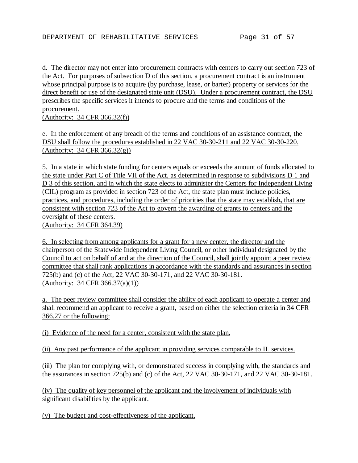d. The director may not enter into procurement contracts with centers to carry out section 723 of the Act. For purposes of subsection D of this section, a procurement contract is an instrument whose principal purpose is to acquire (by purchase, lease, or barter) property or services for the direct benefit or use of the designated state unit (DSU). Under a procurement contract, the DSU prescribes the specific services it intends to procure and the terms and conditions of the procurement.

(Authority: 34 CFR 366.32(f))

e. In the enforcement of any breach of the terms and conditions of an assistance contract, the DSU shall follow the procedures established in 22 VAC 30-30-211 and 22 VAC 30-30-220. (Authority: 34 CFR 366.32(g))

5. In a state in which state funding for centers equals or exceeds the amount of funds allocated to the state under Part C of Title VII of the Act, as determined in response to subdivisions D 1 and D 3 of this section, and in which the state elects to administer the Centers for Independent Living (CIL) program as provided in section 723 of the Act, the state plan must include policies, practices, and procedures, including the order of priorities that the state may establish**,** that are consistent with section 723 of the Act to govern the awarding of grants to centers and the oversight of these centers. (Authority: 34 CFR 364.39)

6. In selecting from among applicants for a grant for a new center, the director and the chairperson of the Statewide Independent Living Council, or other individual designated by the Council to act on behalf of and at the direction of the Council, shall jointly appoint a peer review committee that shall rank applications in accordance with the standards and assurances in section 725(b) and (c) of the Act, 22 VAC 30-30-171, and 22 VAC 30-30-181. (Authority: 34 CFR 366.37(a)(1))

a. The peer review committee shall consider the ability of each applicant to operate a center and shall recommend an applicant to receive a grant, based on either the selection criteria in 34 CFR 366.27 or the following:

(i) Evidence of the need for a center, consistent with the state plan.

(ii) Any past performance of the applicant in providing services comparable to IL services.

(iii) The plan for complying with, or demonstrated success in complying with, the standards and the assurances in section 725(b) and (c) of the Act, 22 VAC 30-30-171, and 22 VAC 30-30-181.

(iv) The quality of key personnel of the applicant and the involvement of individuals with significant disabilities by the applicant.

(v) The budget and cost-effectiveness of the applicant.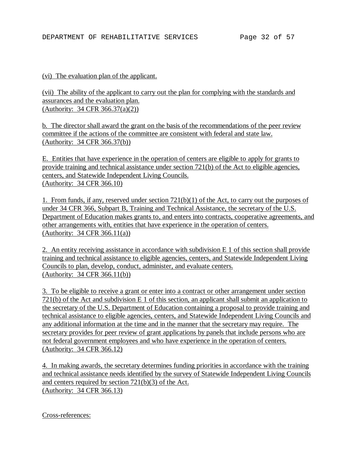### (vi) The evaluation plan of the applicant.

(vii) The ability of the applicant to carry out the plan for complying with the standards and assurances and the evaluation plan. (Authority: 34 CFR 366.37(a)(2))

b. The director shall award the grant on the basis of the recommendations of the peer review committee if the actions of the committee are consistent with federal and state law. (Authority: 34 CFR 366.37(b))

E. Entities that have experience in the operation of centers are eligible to apply for grants to provide training and technical assistance under section 721(b) of the Act to eligible agencies, centers, and Statewide Independent Living Councils. (Authority: 34 CFR 366.10)

1. From funds, if any, reserved under section  $721(b)(1)$  of the Act, to carry out the purposes of under 34 CFR 366, Subpart B, Training and Technical Assistance, the secretary of the U.S. Department of Education makes grants to, and enters into contracts, cooperative agreements, and other arrangements with, entities that have experience in the operation of centers. (Authority: 34 CFR 366.11(a))

2. An entity receiving assistance in accordance with subdivision E 1 of this section shall provide training and technical assistance to eligible agencies, centers, and Statewide Independent Living Councils to plan, develop, conduct, administer, and evaluate centers. (Authority: 34 CFR 366.11(b))

3. To be eligible to receive a grant or enter into a contract or other arrangement under section 721(b) of the Act and subdivision E 1 of this section, an applicant shall submit an application to the secretary of the U.S. Department of Education containing a proposal to provide training and technical assistance to eligible agencies, centers, and Statewide Independent Living Councils and any additional information at the time and in the manner that the secretary may require. The secretary provides for peer review of grant applications by panels that include persons who are not federal government employees and who have experience in the operation of centers. (Authority: 34 CFR 366.12)

4. In making awards, the secretary determines funding priorities in accordance with the training and technical assistance needs identified by the survey of Statewide Independent Living Councils and centers required by section 721(b)(3) of the Act. (Authority: 34 CFR 366.13)

Cross-references: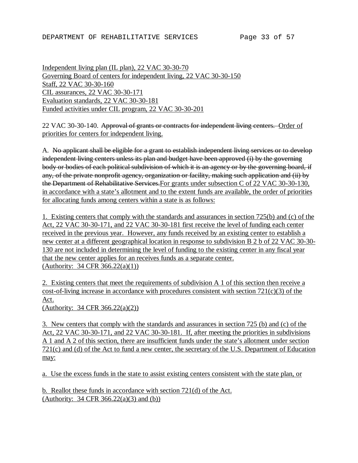Independent living plan (IL plan), 22 VAC 30-30-70 Governing Board of centers for independent living, 22 VAC 30-30-150 Staff, 22 VAC 30-30-160 CIL assurances, 22 VAC 30-30-171 Evaluation standards, 22 VAC 30-30-181 Funded activities under CIL program, 22 VAC 30-30-201

22 VAC 30-30-140. Approval of grants or contracts for independent living centers. Order of priorities for centers for independent living.

A. No applicant shall be eligible for a grant to establish independent living services or to develop independent living centers unless its plan and budget have been approved (i) by the governing body or bodies of each political subdivision of which it is an agency or by the governing board, if any, of the private nonprofit agency, organization or facility, making such application and (ii) by the Department of Rehabilitative Services.For grants under subsection C of 22 VAC 30-30-130, in accordance with a state's allotment and to the extent funds are available, the order of priorities for allocating funds among centers within a state is as follows:

1. Existing centers that comply with the standards and assurances in section 725(b) and (c) of the Act, 22 VAC 30-30-171, and 22 VAC 30-30-181 first receive the level of funding each center received in the previous year. However, any funds received by an existing center to establish a new center at a different geographical location in response to subdivision B 2 b of 22 VAC 30-30- 130 are not included in determining the level of funding to the existing center in any fiscal year that the new center applies for an receives funds as a separate center. (Authority: 34 CFR 366.22(a)(1))

2. Existing centers that meet the requirements of subdivision A 1 of this section then receive a cost-of-living increase in accordance with procedures consistent with section 721(c)(3) of the Act.

(Authority: 34 CFR 366.22(a)(2))

3. New centers that comply with the standards and assurances in section 725 (b) and (c) of the Act, 22 VAC 30-30-171, and 22 VAC 30-30-181. If, after meeting the priorities in subdivisions A 1 and A 2 of this section, there are insufficient funds under the state's allotment under section 721(c) and (d) of the Act to fund a new center, the secretary of the U.S. Department of Education may:

a. Use the excess funds in the state to assist existing centers consistent with the state plan, or

b. Reallot these funds in accordance with section 721(d) of the Act. (Authority: 34 CFR 366.22(a)(3) and (b))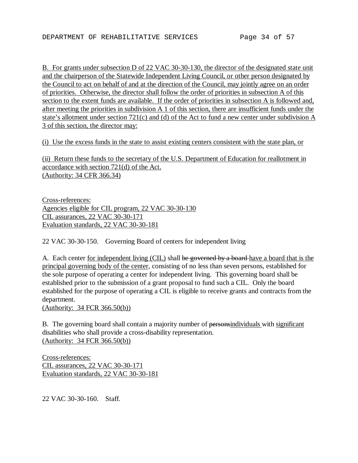B. For grants under subsection D of 22 VAC 30-30-130, the director of the designated state unit and the chairperson of the Statewide Independent Living Council, or other person designated by the Council to act on behalf of and at the direction of the Council, may jointly agree on an order of priorities. Otherwise, the director shall follow the order of priorities in subsection A of this section to the extent funds are available. If the order of priorities in subsection A is followed and, after meeting the priorities in subdivision A 1 of this section, there are insufficient funds under the state's allotment under section 721(c) and (d) of the Act to fund a new center under subdivision A 3 of this section, the director may:

(i) Use the excess funds in the state to assist existing centers consistent with the state plan, or

(ii) Return these funds to the secretary of the U.S. Department of Education for reallotment in accordance with section 721(d) of the Act. (Authority: 34 CFR 366.34)

Cross-references: Agencies eligible for CIL program, 22 VAC 30-30-130 CIL assurances, 22 VAC 30-30-171 Evaluation standards, 22 VAC 30-30-181

22 VAC 30-30-150. Governing Board of centers for independent living

A. Each center <u>for independent living (CIL)</u> shall be governed by a board have a board that is the principal governing body of the center, consisting of no less than seven persons, established for the sole purpose of operating a center for independent living. This governing board shall be established prior to the submission of a grant proposal to fund such a CIL. Only the board established for the purpose of operating a CIL is eligible to receive grants and contracts from the department.

(Authority: 34 FCR 366.50(b))

B. The governing board shall contain a majority number of personsindividuals with significant disabilities who shall provide a cross-disability representation. (Authority: 34 FCR 366.50(b))

Cross-references: CIL assurances, 22 VAC 30-30-171 Evaluation standards, 22 VAC 30-30-181

22 VAC 30-30-160. Staff.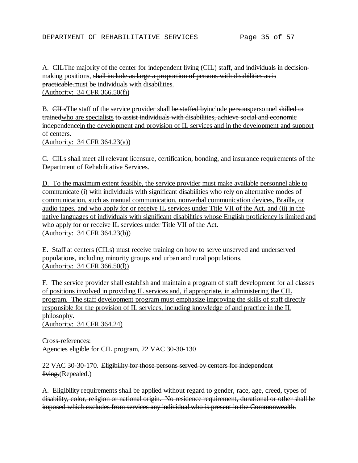A. CILThe majority of the center for independent living (CIL) staff, and individuals in decisionmaking positions, shall include as large a proportion of persons with disabilities as is practicable.must be individuals with disabilities. (Authority: 34 CFR 366.50(f))

B. CILsThe staff of the service provider shall be staffed byinclude personspersonnel skilled or trainedwho are specialists to assist individuals with disabilities, achieve social and economic independencein the development and provision of IL services and in the development and support of centers. (Authority: 34 CFR 364.23(a))

C. CILs shall meet all relevant licensure, certification, bonding, and insurance requirements of the Department of Rehabilitative Services.

D. To the maximum extent feasible, the service provider must make available personnel able to communicate (i) with individuals with significant disabilities who rely on alternative modes of communication, such as manual communication, nonverbal communication devices, Braille, or audio tapes, and who apply for or receive IL services under Title VII of the Act, and (ii) in the native languages of individuals with significant disabilities whose English proficiency is limited and who apply for or receive IL services under Title VII of the Act. (Authority: 34 CFR 364.23(b))

E. Staff at centers (CILs) must receive training on how to serve unserved and underserved populations, including minority groups and urban and rural populations. (Authority: 34 CFR 366.50(l))

F. The service provider shall establish and maintain a program of staff development for all classes of positions involved in providing IL services and, if appropriate, in administering the CIL program. The staff development program must emphasize improving the skills of staff directly responsible for the provision of IL services, including knowledge of and practice in the IL philosophy. (Authority: 34 CFR 364.24)

Cross-references:

Agencies eligible for CIL program, 22 VAC 30-30-130

22 VAC 30-30-170. Eligibility for those persons served by centers for independent living.(Repealed.)

A. Eligibility requirements shall be applied without regard to gender, race, age, creed, types of disability, color, religion or national origin. No residence requirement, durational or other shall be imposed which excludes from services any individual who is present in the Commonwealth.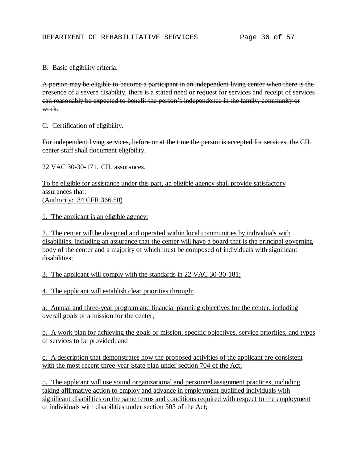B. Basic eligibility criteria.

A person may be eligible to become a participant in an independent living center when there is the presence of a severe disability, there is a stated need or request for services and receipt of services can reasonably be expected to benefit the person's independence in the family, community or work.

C. Certification of eligibility.

For independent living services, before or at the time the person is accepted for services, the CIL center staff shall document eligibility.

22 VAC 30-30-171. CIL assurances.

To be eligible for assistance under this part, an eligible agency shall provide satisfactory assurances that: (Authority: 34 CFR 366.50)

1. The applicant is an eligible agency;

2. The center will be designed and operated within local communities by individuals with disabilities, including an assurance that the center will have a board that is the principal governing body of the center and a majority of which must be composed of individuals with significant disabilities;

3. The applicant will comply with the standards in 22 VAC 30-30-181;

4. The applicant will establish clear priorities through:

a. Annual and three-year program and financial planning objectives for the center, including overall goals or a mission for the center;

b. A work plan for achieving the goals or mission, specific objectives, service priorities, and types of services to be provided; and

c. A description that demonstrates how the proposed activities of the applicant are consistent with the most recent three-year State plan under section 704 of the Act;

5. The applicant will use sound organizational and personnel assignment practices, including taking affirmative action to employ and advance in employment qualified individuals with significant disabilities on the same terms and conditions required with respect to the employment of individuals with disabilities under section 503 of the Act;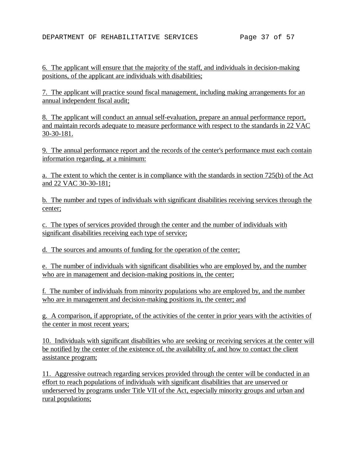6. The applicant will ensure that the majority of the staff, and individuals in decision-making positions, of the applicant are individuals with disabilities;

7. The applicant will practice sound fiscal management, including making arrangements for an annual independent fiscal audit;

8. The applicant will conduct an annual self-evaluation, prepare an annual performance report, and maintain records adequate to measure performance with respect to the standards in 22 VAC 30-30-181.

9. The annual performance report and the records of the center's performance must each contain information regarding, at a minimum:

a. The extent to which the center is in compliance with the standards in section 725(b) of the Act and 22 VAC 30-30-181;

b. The number and types of individuals with significant disabilities receiving services through the center;

c. The types of services provided through the center and the number of individuals with significant disabilities receiving each type of service;

d. The sources and amounts of funding for the operation of the center;

e. The number of individuals with significant disabilities who are employed by, and the number who are in management and decision-making positions in, the center;

f. The number of individuals from minority populations who are employed by, and the number who are in management and decision-making positions in, the center; and

g. A comparison, if appropriate, of the activities of the center in prior years with the activities of the center in most recent years;

10. Individuals with significant disabilities who are seeking or receiving services at the center will be notified by the center of the existence of, the availability of, and how to contact the client assistance program;

11. Aggressive outreach regarding services provided through the center will be conducted in an effort to reach populations of individuals with significant disabilities that are unserved or underserved by programs under Title VII of the Act, especially minority groups and urban and rural populations;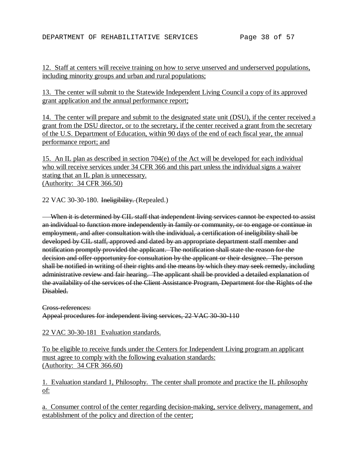12. Staff at centers will receive training on how to serve unserved and underserved populations, including minority groups and urban and rural populations;

13. The center will submit to the Statewide Independent Living Council a copy of its approved grant application and the annual performance report;

14. The center will prepare and submit to the designated state unit (DSU), if the center received a grant from the DSU director, or to the secretary, if the center received a grant from the secretary of the U.S. Department of Education, within 90 days of the end of each fiscal year, the annual performance report; and

15. An IL plan as described in section 704(e) of the Act will be developed for each individual who will receive services under 34 CFR 366 and this part unless the individual signs a waiver stating that an IL plan is unnecessary. (Authority: 34 CFR 366.50)

22 VAC 30-30-180. Ineligibility. (Repealed.)

 When it is determined by CIL staff that independent living services cannot be expected to assist an individual to function more independently in family or community, or to engage or continue in employment, and after consultation with the individual, a certification of ineligibility shall be developed by CIL staff, approved and dated by an appropriate department staff member and notification promptly provided the applicant. The notification shall state the reason for the decision and offer opportunity for consultation by the applicant or their designee. The person shall be notified in writing of their rights and the means by which they may seek remedy, including administrative review and fair hearing. The applicant shall be provided a detailed explanation of the availability of the services of the Client Assistance Program, Department for the Rights of the Disabled.

Cross-references:

Appeal procedures for independent living services, 22 VAC 30-30-110

22 VAC 30-30-181 Evaluation standards.

To be eligible to receive funds under the Centers for Independent Living program an applicant must agree to comply with the following evaluation standards: (Authority: 34 CFR 366.60)

1. Evaluation standard 1, Philosophy. The center shall promote and practice the IL philosophy of:

a. Consumer control of the center regarding decision-making, service delivery, management, and establishment of the policy and direction of the center;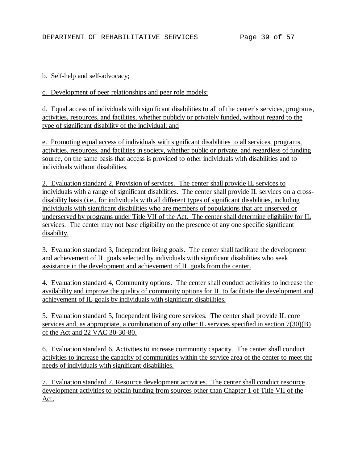### b. Self-help and self-advocacy;

### c. Development of peer relationships and peer role models;

d. Equal access of individuals with significant disabilities to all of the center's services, programs, activities, resources, and facilities, whether publicly or privately funded, without regard to the type of significant disability of the individual; and

e. Promoting equal access of individuals with significant disabilities to all services, programs, activities, resources, and facilities in society, whether public or private, and regardless of funding source, on the same basis that access is provided to other individuals with disabilities and to individuals without disabilities.

2. Evaluation standard 2, Provision of services. The center shall provide IL services to individuals with a range of significant disabilities. The center shall provide IL services on a crossdisability basis (i.e., for individuals with all different types of significant disabilities, including individuals with significant disabilities who are members of populations that are unserved or underserved by programs under Title VII of the Act. The center shall determine eligibility for IL services. The center may not base eligibility on the presence of any one specific significant disability.

3. Evaluation standard 3, Independent living goals. The center shall facilitate the development and achievement of IL goals selected by individuals with significant disabilities who seek assistance in the development and achievement of IL goals from the center.

4. Evaluation standard 4, Community options. The center shall conduct activities to increase the availability and improve the quality of community options for IL to facilitate the development and achievement of IL goals by individuals with significant disabilities.

5. Evaluation standard 5, Independent living core services. The center shall provide IL core services and, as appropriate, a combination of any other IL services specified in section 7(30)(B) of the Act and 22 VAC 30-30-80.

6. Evaluation standard 6, Activities to increase community capacity. The center shall conduct activities to increase the capacity of communities within the service area of the center to meet the needs of individuals with significant disabilities.

7. Evaluation standard 7, Resource development activities. The center shall conduct resource development activities to obtain funding from sources other than Chapter 1 of Title VII of the Act.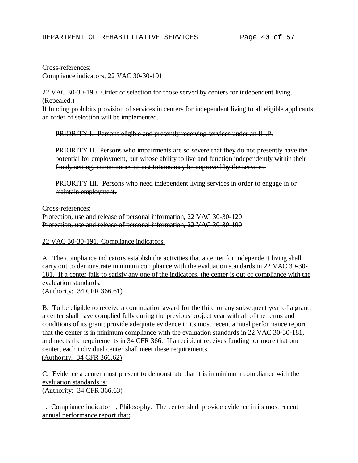### Cross-references: Compliance indicators, 22 VAC 30-30-191

22 VAC 30-30-190. Order of selection for those served by centers for independent living. (Repealed.)

If funding prohibits provision of services in centers for independent living to all eligible applicants, an order of selection will be implemented.

PRIORITY I. Persons eligible and presently receiving services under an IILP.

PRIORITY II. Persons who impairments are so severe that they do not presently have the potential for employment, but whose ability to live and function independently within their family setting, communities or institutions may be improved by the services.

PRIORITY III. Persons who need independent living services in order to engage in or maintain employment.

Cross-references:

Protection, use and release of personal information, 22 VAC 30-30-120 Protection, use and release of personal information, 22 VAC 30-30-190

22 VAC 30-30-191. Compliance indicators.

A. The compliance indicators establish the activities that a center for independent living shall carry out to demonstrate minimum compliance with the evaluation standards in 22 VAC 30-30- 181. If a center fails to satisfy any one of the indicators, the center is out of compliance with the evaluation standards. (Authority: 34 CFR 366.61)

B. To be eligible to receive a continuation award for the third or any subsequent year of a grant, a center shall have complied fully during the previous project year with all of the terms and conditions of its grant; provide adequate evidence in its most recent annual performance report that the center is in minimum compliance with the evaluation standards in 22 VAC 30-30-181, and meets the requirements in 34 CFR 366. If a recipient receives funding for more that one center, each individual center shall meet these requirements. (Authority: 34 CFR 366.62)

C. Evidence a center must present to demonstrate that it is in minimum compliance with the evaluation standards is: (Authority: 34 CFR 366.63)

1. Compliance indicator 1, Philosophy. The center shall provide evidence in its most recent annual performance report that: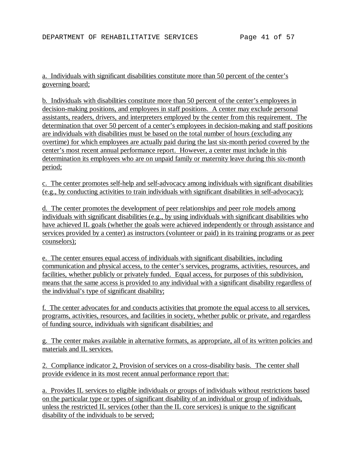a. Individuals with significant disabilities constitute more than 50 percent of the center's governing board;

b. Individuals with disabilities constitute more than 50 percent of the center's employees in decision-making positions, and employees in staff positions. A center may exclude personal assistants, readers, drivers, and interpreters employed by the center from this requirement. The determination that over 50 percent of a center's employees in decision-making and staff positions are individuals with disabilities must be based on the total number of hours (excluding any overtime) for which employees are actually paid during the last six-month period covered by the center's most recent annual performance report. However, a center must include in this determination its employees who are on unpaid family or maternity leave during this six-month period;

c. The center promotes self-help and self-advocacy among individuals with significant disabilities (e.g., by conducting activities to train individuals with significant disabilities in self-advocacy);

d. The center promotes the development of peer relationships and peer role models among individuals with significant disabilities (e.g., by using individuals with significant disabilities who have achieved IL goals (whether the goals were achieved independently or through assistance and services provided by a center) as instructors (volunteer or paid) in its training programs or as peer counselors);

e. The center ensures equal access of individuals with significant disabilities, including communication and physical access, to the center's services, programs, activities, resources, and facilities, whether publicly or privately funded. Equal access, for purposes of this subdivision, means that the same access is provided to any individual with a significant disability regardless of the individual's type of significant disability;

f. The center advocates for and conducts activities that promote the equal access to all services, programs, activities, resources, and facilities in society, whether public or private, and regardless of funding source, individuals with significant disabilities; and

g. The center makes available in alternative formats, as appropriate, all of its written policies and materials and IL services.

2. Compliance indicator 2, Provision of services on a cross-disability basis. The center shall provide evidence in its most recent annual performance report that:

a. Provides IL services to eligible individuals or groups of individuals without restrictions based on the particular type or types of significant disability of an individual or group of individuals, unless the restricted IL services (other than the IL core services) is unique to the significant disability of the individuals to be served;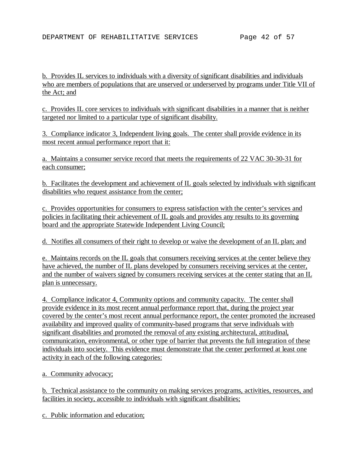b. Provides IL services to individuals with a diversity of significant disabilities and individuals who are members of populations that are unserved or underserved by programs under Title VII of the Act; and

c. Provides IL core services to individuals with significant disabilities in a manner that is neither targeted nor limited to a particular type of significant disability.

3. Compliance indicator 3, Independent living goals. The center shall provide evidence in its most recent annual performance report that it:

a. Maintains a consumer service record that meets the requirements of 22 VAC 30-30-31 for each consumer;

b. Facilitates the development and achievement of IL goals selected by individuals with significant disabilities who request assistance from the center;

c. Provides opportunities for consumers to express satisfaction with the center's services and policies in facilitating their achievement of IL goals and provides any results to its governing board and the appropriate Statewide Independent Living Council;

d. Notifies all consumers of their right to develop or waive the development of an IL plan; and

e. Maintains records on the IL goals that consumers receiving services at the center believe they have achieved, the number of IL plans developed by consumers receiving services at the center, and the number of waivers signed by consumers receiving services at the center stating that an IL plan is unnecessary.

4. Compliance indicator 4, Community options and community capacity. The center shall provide evidence in its most recent annual performance report that, during the project year covered by the center's most recent annual performance report, the center promoted the increased availability and improved quality of community-based programs that serve individuals with significant disabilities and promoted the removal of any existing architectural, attitudinal, communication, environmental, or other type of barrier that prevents the full integration of these individuals into society. This evidence must demonstrate that the center performed at least one activity in each of the following categories:

a. Community advocacy;

b. Technical assistance to the community on making services programs, activities, resources, and facilities in society, accessible to individuals with significant disabilities;

c. Public information and education;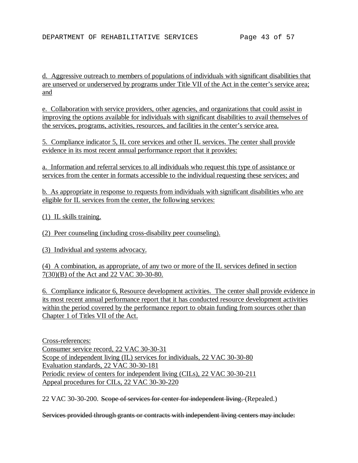d. Aggressive outreach to members of populations of individuals with significant disabilities that are unserved or underserved by programs under Title VII of the Act in the center's service area; and

e. Collaboration with service providers, other agencies, and organizations that could assist in improving the options available for individuals with significant disabilities to avail themselves of the services, programs, activities, resources, and facilities in the center's service area.

5. Compliance indicator 5, IL core services and other IL services. The center shall provide evidence in its most recent annual performance report that it provides:

a. Information and referral services to all individuals who request this type of assistance or services from the center in formats accessible to the individual requesting these services; and

b. As appropriate in response to requests from individuals with significant disabilities who are eligible for IL services from the center, the following services:

(1) IL skills training.

(2) Peer counseling (including cross-disability peer counseling).

(3) Individual and systems advocacy.

(4) A combination, as appropriate, of any two or more of the IL services defined in section 7(30)(B) of the Act and 22 VAC 30-30-80.

6. Compliance indicator 6, Resource development activities. The center shall provide evidence in its most recent annual performance report that it has conducted resource development activities within the period covered by the performance report to obtain funding from sources other than Chapter 1 of Titles VII of the Act.

Cross-references: Consumer service record, 22 VAC 30-30-31 Scope of independent living (IL) services for individuals, 22 VAC 30-30-80 Evaluation standards, 22 VAC 30-30-181 Periodic review of centers for independent living (CILs), 22 VAC 30-30-211 Appeal procedures for CILs, 22 VAC 30-30-220

22 VAC 30-30-200. Seope of services for center for independent living. (Repealed.)

Services provided through grants or contracts with independent living centers may include: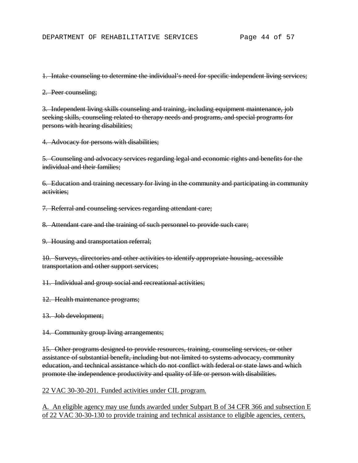1. Intake counseling to determine the individual's need for specific independent living services;

2. Peer counseling;

3. Independent living skills counseling and training, including equipment maintenance, job seeking skills, counseling related to therapy needs and programs, and special programs for persons with hearing disabilities;

4. Advocacy for persons with disabilities;

5. Counseling and advocacy services regarding legal and economic rights and benefits for the individual and their families:

6. Education and training necessary for living in the community and participating in community activities;

7. Referral and counseling services regarding attendant care;

8. Attendant care and the training of such personnel to provide such care;

9. Housing and transportation referral;

10. Surveys, directories and other activities to identify appropriate housing, accessible transportation and other support services;

11. Individual and group social and recreational activities;

12. Health maintenance programs;

13. Job development;

14. Community group living arrangements;

15. Other programs designed to provide resources, training, counseling services, or other assistance of substantial benefit, including but not limited to systems advocacy, community education, and technical assistance which do not conflict with federal or state laws and which promote the independence productivity and quality of life or person with disabilities.

22 VAC 30-30-201. Funded activities under CIL program.

A. An eligible agency may use funds awarded under Subpart B of 34 CFR 366 and subsection E of 22 VAC 30-30-130 to provide training and technical assistance to eligible agencies, centers,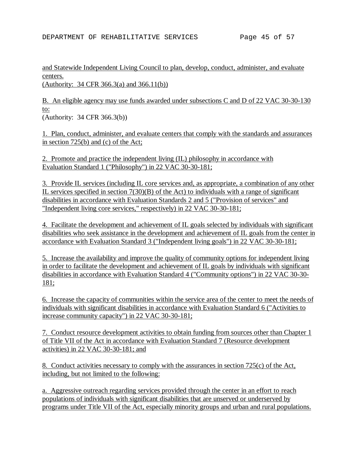and Statewide Independent Living Council to plan, develop, conduct, administer, and evaluate centers. (Authority: 34 CFR 366.3(a) and 366.11(b))

B. An eligible agency may use funds awarded under subsections C and D of 22 VAC 30-30-130 to: (Authority: 34 CFR 366.3(b))

1. Plan, conduct, administer, and evaluate centers that comply with the standards and assurances in section 725(b) and (c) of the Act;

2. Promote and practice the independent living (IL) philosophy in accordance with Evaluation Standard 1 ("Philosophy") in 22 VAC 30-30-181;

3. Provide IL services (including IL core services and, as appropriate, a combination of any other IL services specified in section 7(30)(B) of the Act) to individuals with a range of significant disabilities in accordance with Evaluation Standards 2 and 5 ("Provision of services" and "Independent living core services," respectively) in 22 VAC 30-30-181;

4. Facilitate the development and achievement of IL goals selected by individuals with significant disabilities who seek assistance in the development and achievement of IL goals from the center in accordance with Evaluation Standard 3 ("Independent living goals") in 22 VAC 30-30-181;

5. Increase the availability and improve the quality of community options for independent living in order to facilitate the development and achievement of IL goals by individuals with significant disabilities in accordance with Evaluation Standard 4 ("Community options") in 22 VAC 30-30- 181;

6. Increase the capacity of communities within the service area of the center to meet the needs of individuals with significant disabilities in accordance with Evaluation Standard 6 ("Activities to increase community capacity") in 22 VAC 30-30-181;

7. Conduct resource development activities to obtain funding from sources other than Chapter 1 of Title VII of the Act in accordance with Evaluation Standard 7 (Resource development activities) in 22 VAC 30-30-181; and

8. Conduct activities necessary to comply with the assurances in section 725(c) of the Act, including, but not limited to the following:

a. Aggressive outreach regarding services provided through the center in an effort to reach populations of individuals with significant disabilities that are unserved or underserved by programs under Title VII of the Act, especially minority groups and urban and rural populations.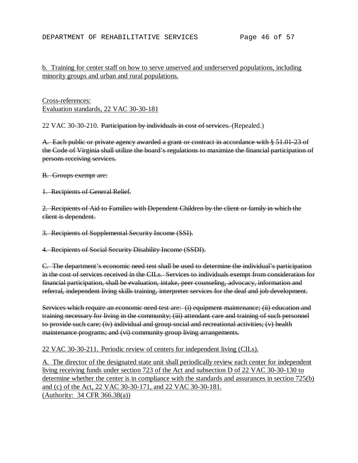## b. Training for center staff on how to serve unserved and underserved populations, including minority groups and urban and rural populations.

Cross-references: Evaluation standards, 22 VAC 30-30-181

22 VAC 30-30-210. Participation by individuals in cost of services. (Repealed.)

A. Each public or private agency awarded a grant or contract in accordance with § 51.01-23 of the Code of Virginia shall utilize the board's regulations to maximize the financial participation of persons receiving services.

B. Groups exempt are:

1. Recipients of General Relief.

2. Recipients of Aid to Families with Dependent Children by the client or family in which the client is dependent.

3. Recipients of Supplemental Security Income (SSI).

4. Recipients of Social Security Disability Income (SSDI).

C. The department's economic need test shall be used to determine the individual's participation in the cost of services received in the CILs. Services to individuals exempt from consideration for financial participation, shall be evaluation, intake, peer counseling, advocacy, information and referral, independent living skills training, interpreter services for the deaf and job development.

Services which require an economic need test are: (i) equipment maintenance; (ii) education and training necessary for living in the community; (iii) attendant care and training of such personnel to provide such care; (iv) individual and group social and recreational activities; (v) health maintenance programs; and (vi) community group living arrangements.

### 22 VAC 30-30-211. Periodic review of centers for independent living (CILs).

A. The director of the designated state unit shall periodically review each center for independent living receiving funds under section 723 of the Act and subsection D of 22 VAC 30-30-130 to determine whether the center is in compliance with the standards and assurances in section 725(b) and (c) of the Act, 22 VAC 30-30-171, and 22 VAC 30-30-181. (Authority: 34 CFR 366.38(a))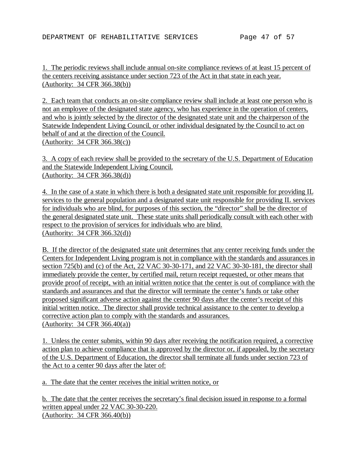1. The periodic reviews shall include annual on-site compliance reviews of at least 15 percent of the centers receiving assistance under section 723 of the Act in that state in each year. (Authority: 34 CFR 366.38(b))

2. Each team that conducts an on-site compliance review shall include at least one person who is not an employee of the designated state agency, who has experience in the operation of centers, and who is jointly selected by the director of the designated state unit and the chairperson of the Statewide Independent Living Council, or other individual designated by the Council to act on behalf of and at the direction of the Council. (Authority: 34 CFR 366.38(c))

3. A copy of each review shall be provided to the secretary of the U.S. Department of Education and the Statewide Independent Living Council. (Authority: 34 CFR 366.38(d))

4. In the case of a state in which there is both a designated state unit responsible for providing IL services to the general population and a designated state unit responsible for providing IL services for individuals who are blind, for purposes of this section, the "director" shall be the director of the general designated state unit. These state units shall periodically consult with each other with respect to the provision of services for individuals who are blind. (Authority: 34 CFR 366.32(d))

B. If the director of the designated state unit determines that any center receiving funds under the Centers for Independent Living program is not in compliance with the standards and assurances in section 725(b) and (c) of the Act, 22 VAC 30-30-171, and 22 VAC 30-30-181, the director shall immediately provide the center, by certified mail, return receipt requested, or other means that provide proof of receipt, with an initial written notice that the center is out of compliance with the standards and assurances and that the director will terminate the center's funds or take other proposed significant adverse action against the center 90 days after the center's receipt of this initial written notice. The director shall provide technical assistance to the center to develop a corrective action plan to comply with the standards and assurances. (Authority: 34 CFR 366.40(a))

1. Unless the center submits, within 90 days after receiving the notification required, a corrective action plan to achieve compliance that is approved by the director or, if appealed, by the secretary of the U.S. Department of Education, the director shall terminate all funds under section 723 of the Act to a center 90 days after the later of:

a. The date that the center receives the initial written notice, or

b. The date that the center receives the secretary's final decision issued in response to a formal written appeal under 22 VAC 30-30-220. (Authority: 34 CFR 366.40(b))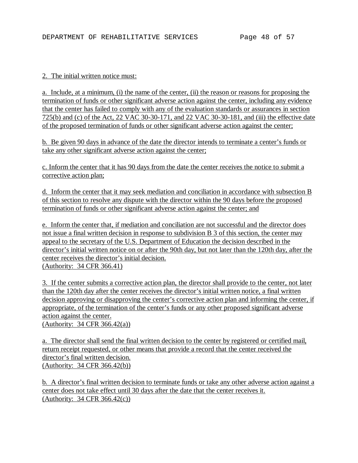#### 2. The initial written notice must:

a. Include, at a minimum, (i) the name of the center, (ii) the reason or reasons for proposing the termination of funds or other significant adverse action against the center, including any evidence that the center has failed to comply with any of the evaluation standards or assurances in section 725(b) and (c) of the Act, 22 VAC 30-30-171, and 22 VAC 30-30-181, and (iii) the effective date of the proposed termination of funds or other significant adverse action against the center;

b. Be given 90 days in advance of the date the director intends to terminate a center's funds or take any other significant adverse action against the center;

c. Inform the center that it has 90 days from the date the center receives the notice to submit a corrective action plan;

d. Inform the center that it may seek mediation and conciliation in accordance with subsection B of this section to resolve any dispute with the director within the 90 days before the proposed termination of funds or other significant adverse action against the center; and

e. Inform the center that, if mediation and conciliation are not successful and the director does not issue a final written decision in response to subdivision B 3 of this section, the center may appeal to the secretary of the U.S. Department of Education the decision described in the director's initial written notice on or after the 90th day, but not later than the 120th day, after the center receives the director's initial decision. (Authority: 34 CFR 366.41)

3. If the center submits a corrective action plan, the director shall provide to the center, not later than the 120th day after the center receives the director's initial written notice, a final written decision approving or disapproving the center's corrective action plan and informing the center, if appropriate, of the termination of the center's funds or any other proposed significant adverse action against the center. (Authority: 34 CFR 366.42(a))

a. The director shall send the final written decision to the center by registered or certified mail, return receipt requested, or other means that provide a record that the center received the director's final written decision. (Authority: 34 CFR 366.42(b))

b. A director's final written decision to terminate funds or take any other adverse action against a center does not take effect until 30 days after the date that the center receives it. (Authority: 34 CFR 366.42(c))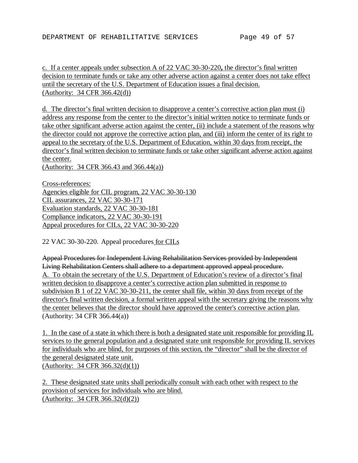c. If a center appeals under subsection A of 22 VAC 30-30-220**,** the director's final written decision to terminate funds or take any other adverse action against a center does not take effect until the secretary of the U.S. Department of Education issues a final decision. (Authority: 34 CFR 366.42(d))

d. The director's final written decision to disapprove a center's corrective action plan must (i) address any response from the center to the director's initial written notice to terminate funds or take other significant adverse action against the center, (ii) include a statement of the reasons why the director could not approve the corrective action plan, and (iii) inform the center of its right to appeal to the secretary of the U.S. Department of Education, within 30 days from receipt, the director's final written decision to terminate funds or take other significant adverse action against the center.

(Authority: 34 CFR 366.43 and 366.44(a))

Cross-references: Agencies eligible for CIL program, 22 VAC 30-30-130 CIL assurances, 22 VAC 30-30-171 Evaluation standards, 22 VAC 30-30-181 Compliance indicators, 22 VAC 30-30-191 Appeal procedures for CILs, 22 VAC 30-30-220

22 VAC 30-30-220. Appeal procedures for CILs

Appeal Procedures for Independent Living Rehabilitation Services provided by Independent Living Rehabilitation Centers shall adhere to a department approved appeal procedure. A. To obtain the secretary of the U.S. Department of Education's review of a director's final written decision to disapprove a center's corrective action plan submitted in response to subdivision B 1 of 22 VAC 30-30-211, the center shall file, within 30 days from receipt of the director's final written decision, a formal written appeal with the secretary giving the reasons why the center believes that the director should have approved the center's corrective action plan. (Authority: 34 CFR 366.44(a))

1. In the case of a state in which there is both a designated state unit responsible for providing IL services to the general population and a designated state unit responsible for providing IL services for individuals who are blind, for purposes of this section, the "director" shall be the director of the general designated state unit. (Authority: 34 CFR 366.32(d)(1))

2. These designated state units shall periodically consult with each other with respect to the provision of services for individuals who are blind. (Authority: 34 CFR 366.32(d)(2))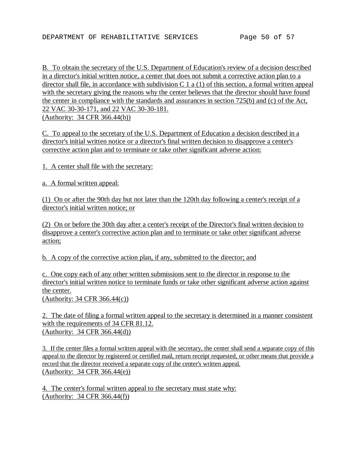B. To obtain the secretary of the U.S. Department of Education's review of a decision described in a director's initial written notice, a center that does not submit a corrective action plan to a director shall file, in accordance with subdivision C 1 a (1) of this section, a formal written appeal with the secretary giving the reasons why the center believes that the director should have found the center in compliance with the standards and assurances in section 725(b) and (c) of the Act, 22 VAC 30-30-171, and 22 VAC 30-30-181. (Authority: 34 CFR 366.44(b))

C. To appeal to the secretary of the U.S. Department of Education a decision described in a director's initial written notice or a director's final written decision to disapprove a center's corrective action plan and to terminate or take other significant adverse action:

1. A center shall file with the secretary:

a. A formal written appeal:

(1) On or after the 90th day but not later than the 120th day following a center's receipt of a director's initial written notice; or

(2) On or before the 30th day after a center's receipt of the Director's final written decision to disapprove a center's corrective action plan and to terminate or take other significant adverse action;

b. A copy of the corrective action plan, if any, submitted to the director; and

c. One copy each of any other written submissions sent to the director in response to the director's initial written notice to terminate funds or take other significant adverse action against the center. (Authority: 34 CFR 366.44(c))

2. The date of filing a formal written appeal to the secretary is determined in a manner consistent with the requirements of 34 CFR 81.12. (Authority: 34 CFR 366.44(d))

3. If the center files a formal written appeal with the secretary, the center shall send a separate copy of this appeal to the director by registered or certified mail, return receipt requested, or other means that provide a record that the director received a separate copy of the center's written appeal. (Authority: 34 CFR 366.44(e))

4. The center's formal written appeal to the secretary must state why: (Authority: 34 CFR 366.44(f))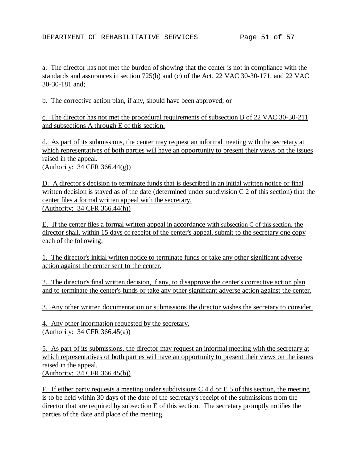a. The director has not met the burden of showing that the center is not in compliance with the standards and assurances in section 725(b) and (c) of the Act, 22 VAC 30-30-171, and 22 VAC 30-30-181 and;

b. The corrective action plan, if any, should have been approved; or

c. The director has not met the procedural requirements of subsection B of 22 VAC 30-30-211 and subsections A through E of this section.

d. As part of its submissions, the center may request an informal meeting with the secretary at which representatives of both parties will have an opportunity to present their views on the issues raised in the appeal.

(Authority: 34 CFR 366.44(g))

D. A director's decision to terminate funds that is described in an initial written notice or final written decision is stayed as of the date (determined under subdivision C 2 of this section) that the center files a formal written appeal with the secretary. (Authority: 34 CFR 366.44(h))

E. If the center files a formal written appeal in accordance with subsection C of this section, the director shall, within 15 days of receipt of the center's appeal, submit to the secretary one copy each of the following:

1. The director's initial written notice to terminate funds or take any other significant adverse action against the center sent to the center.

2. The director's final written decision, if any, to disapprove the center's corrective action plan and to terminate the center's funds or take any other significant adverse action against the center.

3. Any other written documentation or submissions the director wishes the secretary to consider.

4. Any other information requested by the secretary. (Authority: 34 CFR 366.45(a))

5. As part of its submissions, the director may request an informal meeting with the secretary at which representatives of both parties will have an opportunity to present their views on the issues raised in the appeal. (Authority: 34 CFR 366.45(b))

F. If either party requests a meeting under subdivisions  $C_4$  d or E 5 of this section, the meeting is to be held within 30 days of the date of the secretary's receipt of the submissions from the director that are required by subsection E of this section. The secretary promptly notifies the parties of the date and place of the meeting.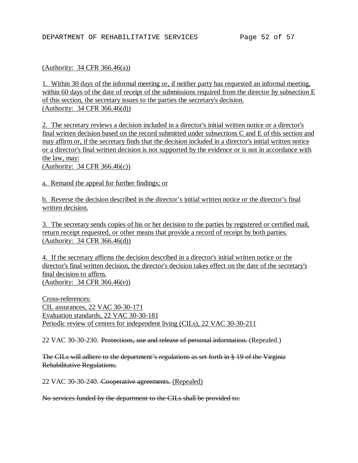#### (Authority: 34 CFR 366.46(a))

1. Within 30 days of the informal meeting or, if neither party has requested an informal meeting, within 60 days of the date of receipt of the submissions required from the director by subsection E of this section, the secretary issues to the parties the secretary's decision. (Authority: 34 CFR 366.46(d))

2. The secretary reviews a decision included in a director's initial written notice or a director's final written decision based on the record submitted under subsections C and E of this section and may affirm or, if the secretary finds that the decision included in a director's initial written notice or a director's final written decision is not supported by the evidence or is not in accordance with the law, may:

(Authority: 34 CFR 366.46(c))

a. Remand the appeal for further findings; or

b. Reverse the decision described in the director's initial written notice or the director's final written decision.

3. The secretary sends copies of his or her decision to the parties by registered or certified mail, return receipt requested, or other means that provide a record of receipt by both parties. (Authority: 34 CFR 366.46(d))

4. If the secretary affirms the decision described in a director's initial written notice or the director's final written decision, the director's decision takes effect on the date of the secretary's final decision to affirm. (Authority: 34 CFR 366.46(e))

Cross-references: CIL assurances, 22 VAC 30-30-171 Evaluation standards, 22 VAC 30-30-181 Periodic review of centers for independent living (CILs), 22 VAC 30-30-211

22 VAC 30-30-230. Protections, use and release of personal information. (Repealed.)

The CILs will adhere to the department's regulations as set forth in § 19 of the Virginia Rehabilitative Regulations.

22 VAC 30-30-240. Cooperative agreements. (Repealed)

No services funded by the department to the CILs shall be provided to: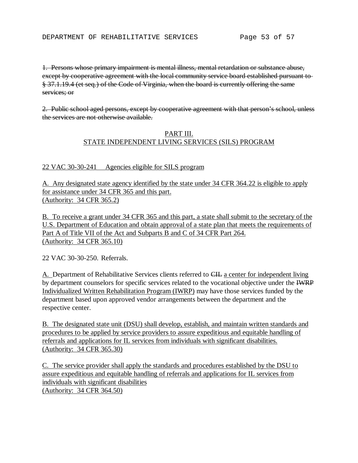1. Persons whose primary impairment is mental illness, mental retardation or substance abuse, except by cooperative agreement with the local community service board established pursuant to § 37.1.19.4 (et seq.) of the Code of Virginia, when the board is currently offering the same services; or

2. Public school aged persons, except by cooperative agreement with that person's school, unless the services are not otherwise available.

### PART III. STATE INDEPENDENT LIVING SERVICES (SILS) PROGRAM

### 22 VAC 30-30-241 Agencies eligible for SILS program

A. Any designated state agency identified by the state under 34 CFR 364.22 is eligible to apply for assistance under 34 CFR 365 and this part. (Authority: 34 CFR 365.2)

B. To receive a grant under 34 CFR 365 and this part, a state shall submit to the secretary of the U.S. Department of Education and obtain approval of a state plan that meets the requirements of Part A of Title VII of the Act and Subparts B and C of 34 CFR Part 264. (Authority: 34 CFR 365.10)

22 VAC 30-30-250. Referrals.

A. Department of Rehabilitative Services clients referred to CIL a center for independent living by department counselors for specific services related to the vocational objective under the IWRP Individualized Written Rehabilitation Program (IWRP) may have those services funded by the department based upon approved vendor arrangements between the department and the respective center.

B. The designated state unit (DSU) shall develop, establish, and maintain written standards and procedures to be applied by service providers to assure expeditious and equitable handling of referrals and applications for IL services from individuals with significant disabilities. (Authority: 34 CFR 365.30)

C. The service provider shall apply the standards and procedures established by the DSU to assure expeditious and equitable handling of referrals and applications for IL services from individuals with significant disabilities (Authority: 34 CFR 364.50)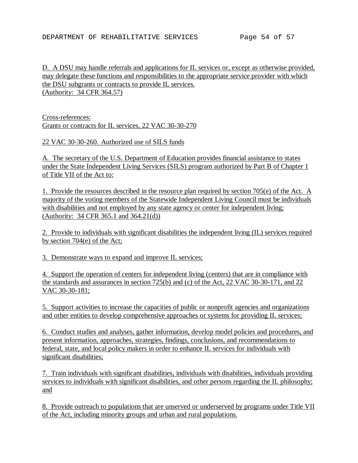D. A DSU may handle referrals and applications for IL services or, except as otherwise provided, may delegate these functions and responsibilities to the appropriate service provider with which the DSU subgrants or contracts to provide IL services. (Authority: 34 CFR 364.57)

Cross-references: Grants or contracts for IL services, 22 VAC 30-30-270

22 VAC 30-30-260. Authorized use of SILS funds

A. The secretary of the U.S. Department of Education provides financial assistance to states under the State Independent Living Services (SILS) program authorized by Part B of Chapter 1 of Title VII of the Act to:

1. Provide the resources described in the resource plan required by section 705(e) of the Act. A majority of the voting members of the Statewide Independent Living Council must be individuals with disabilities and not employed by any state agency or center for independent living; (Authority: 34 CFR 365.1 and 364.21(d))

2. Provide to individuals with significant disabilities the independent living (IL) services required by section 704(e) of the Act;

3. Demonstrate ways to expand and improve IL services;

4. Support the operation of centers for independent living (centers) that are in compliance with the standards and assurances in section 725(b) and (c) of the Act, 22 VAC 30-30-171, and 22 VAC 30-30-181;

5. Support activities to increase the capacities of public or nonprofit agencies and organizations and other entities to develop comprehensive approaches or systems for providing IL services;

6. Conduct studies and analyses, gather information, develop model policies and procedures, and present information, approaches, strategies, findings, conclusions, and recommendations to federal, state, and local policy makers in order to enhance IL services for individuals with significant disabilities;

7. Train individuals with significant disabilities, individuals with disabilities, individuals providing services to individuals with significant disabilities, and other persons regarding the IL philosophy; and

8. Provide outreach to populations that are unserved or underserved by programs under Title VII of the Act, including minority groups and urban and rural populations.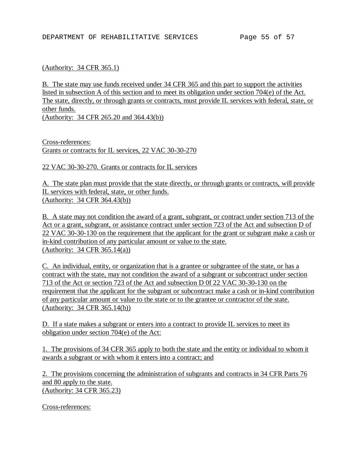### (Authority: 34 CFR 365.1)

B. The state may use funds received under 34 CFR 365 and this part to support the activities listed in subsection A of this section and to meet its obligation under section 704(e) of the Act. The state, directly, or through grants or contracts, must provide IL services with federal, state, or other funds.

(Authority: 34 CFR 265.20 and 364.43(b))

Cross-references: Grants or contracts for IL services, 22 VAC 30-30-270

22 VAC 30-30-270. Grants or contracts for IL services

A. The state plan must provide that the state directly, or through grants or contracts, will provide IL services with federal, state, or other funds. (Authority: 34 CFR 364.43(b))

B. A state may not condition the award of a grant, subgrant, or contract under section 713 of the Act or a grant, subgrant, or assistance contract under section 723 of the Act and subsection D of 22 VAC 30-30-130 on the requirement that the applicant for the grant or subgrant make a cash or in-kind contribution of any particular amount or value to the state. (Authority: 34 CFR 365.14(a))

C. An individual, entity, or organization that is a grantee or subgrantee of the state, or has a contract with the state, may not condition the award of a subgrant or subcontract under section 713 of the Act or section 723 of the Act and subsection D 0f 22 VAC 30-30-130 on the requirement that the applicant for the subgrant or subcontract make a cash or in-kind contribution of any particular amount or value to the state or to the grantee or contractor of the state. (Authority: 34 CFR 365.14(b))

D. If a state makes a subgrant or enters into a contract to provide IL services to meet its obligation under section 704(e) of the Act:

1. The provisions of 34 CFR 365 apply to both the state and the entity or individual to whom it awards a subgrant or with whom it enters into a contract; and

2. The provisions concerning the administration of subgrants and contracts in 34 CFR Parts 76 and 80 apply to the state. (Authority: 34 CFR 365.23)

Cross-references: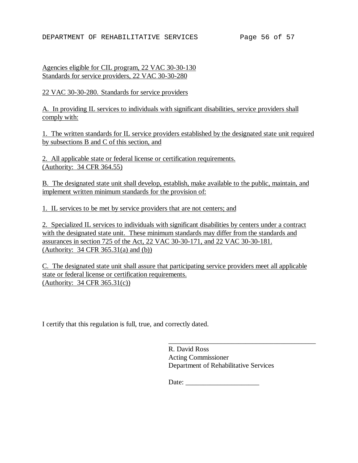#### DEPARTMENT OF REHABILITATIVE SERVICES Page 56 of 57

Agencies eligible for CIL program, 22 VAC 30-30-130 Standards for service providers, 22 VAC 30-30-280

22 VAC 30-30-280. Standards for service providers

A. In providing IL services to individuals with significant disabilities, service providers shall comply with:

1. The written standards for IL service providers established by the designated state unit required by subsections B and C of this section, and

2. All applicable state or federal license or certification requirements. (Authority: 34 CFR 364.55)

B. The designated state unit shall develop, establish, make available to the public, maintain, and implement written minimum standards for the provision of:

1. IL services to be met by service providers that are not centers; and

2. Specialized IL services to individuals with significant disabilities by centers under a contract with the designated state unit. These minimum standards may differ from the standards and assurances in section 725 of the Act, 22 VAC 30-30-171, and 22 VAC 30-30-181. (Authority: 34 CFR 365.31(a) and (b))

C. The designated state unit shall assure that participating service providers meet all applicable state or federal license or certification requirements. (Authority: 34 CFR 365.31(c))

I certify that this regulation is full, true, and correctly dated.

R. David Ross Acting Commissioner Department of Rehabilitative Services

\_\_\_\_\_\_\_\_\_\_\_\_\_\_\_\_\_\_\_\_\_\_\_\_\_\_\_\_\_\_\_\_\_\_\_\_\_\_\_\_\_\_

Date: